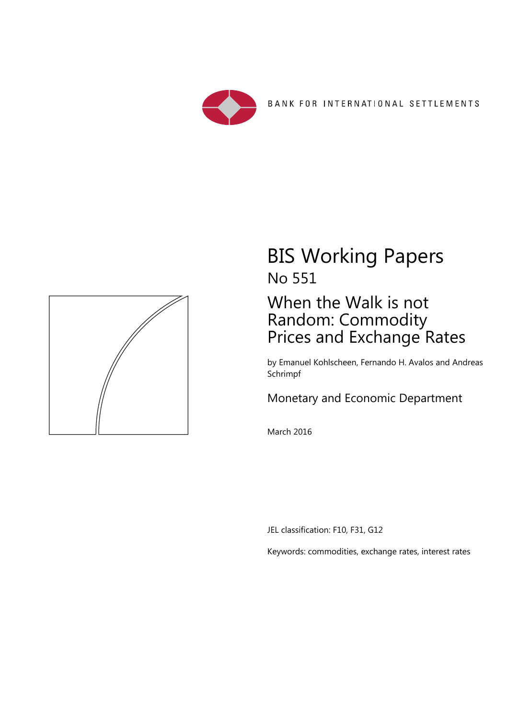



## BIS Working Papers No 551

## When the Walk is not Random: Commodity Prices and Exchange Rates

by Emanuel Kohlscheen, Fernando H. Avalos and Andreas Schrimpf

### Monetary and Economic Department

March 2016

JEL classification: F10, F31, G12

Keywords: commodities, exchange rates, interest rates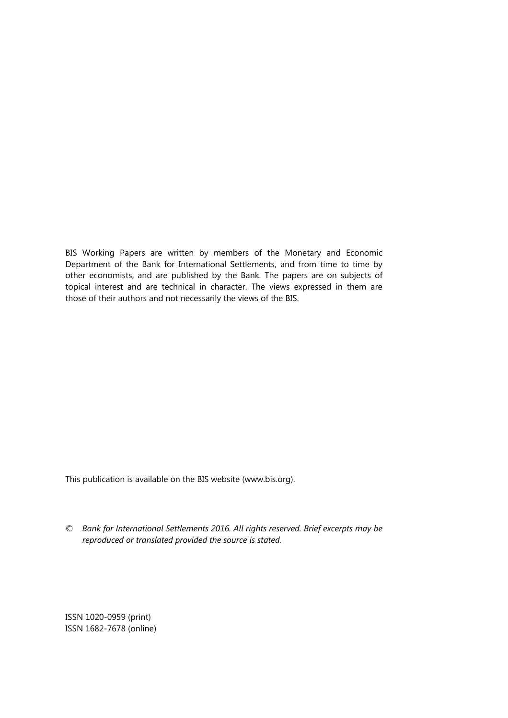BIS Working Papers are written by members of the Monetary and Economic Department of the Bank for International Settlements, and from time to time by other economists, and are published by the Bank. The papers are on subjects of topical interest and are technical in character. The views expressed in them are those of their authors and not necessarily the views of the BIS.

This publication is available on the BIS website (www.bis.org).

*© Bank for International Settlements 2016. All rights reserved. Brief excerpts may be reproduced or translated provided the source is stated.* 

ISSN 1020-0959 (print) ISSN 1682-7678 (online)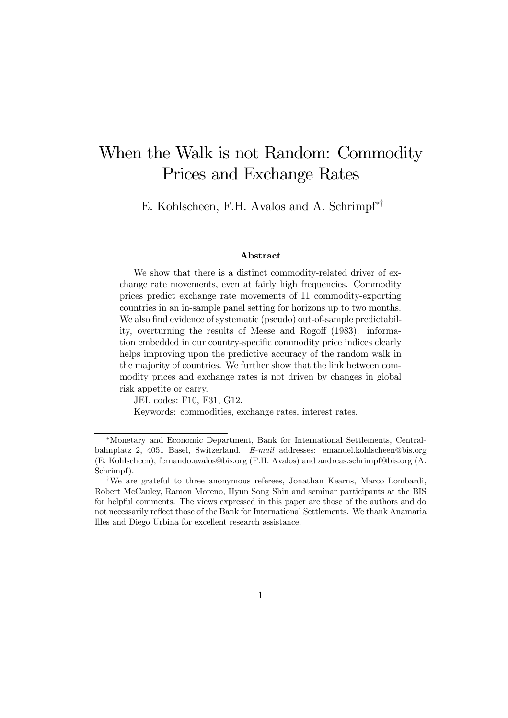## When the Walk is not Random: Commodity Prices and Exchange Rates

E. Kohlscheen, F.H. Avalos and A. Schrimpf∗†

#### Abstract

We show that there is a distinct commodity-related driver of exchange rate movements, even at fairly high frequencies. Commodity prices predict exchange rate movements of 11 commodity-exporting countries in an in-sample panel setting for horizons up to two months. We also find evidence of systematic (pseudo) out-of-sample predictability, overturning the results of Meese and Rogoff (1983): information embedded in our country-specific commodity price indices clearly helps improving upon the predictive accuracy of the random walk in the majority of countries. We further show that the link between commodity prices and exchange rates is not driven by changes in global risk appetite or carry.

JEL codes: F10, F31, G12.

Keywords: commodities, exchange rates, interest rates.

<sup>∗</sup>Monetary and Economic Department, Bank for International Settlements, Centralbahnplatz 2, 4051 Basel, Switzerland. E-mail addresses: emanuel.kohlscheen@bis.org (E. Kohlscheen); fernando.avalos@bis.org (F.H. Avalos) and andreas.schrimpf@bis.org (A. Schrimpf).

<sup>†</sup>We are grateful to three anonymous referees, Jonathan Kearns, Marco Lombardi, Robert McCauley, Ramon Moreno, Hyun Song Shin and seminar participants at the BIS for helpful comments. The views expressed in this paper are those of the authors and do not necessarily reflect those of the Bank for International Settlements. We thank Anamaria Illes and Diego Urbina for excellent research assistance.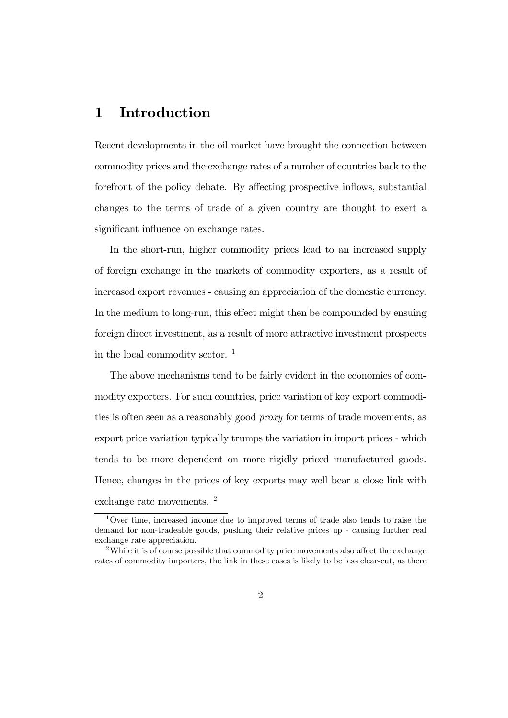### 1 Introduction

Recent developments in the oil market have brought the connection between commodity prices and the exchange rates of a number of countries back to the forefront of the policy debate. By affecting prospective inflows, substantial changes to the terms of trade of a given country are thought to exert a significant influence on exchange rates.

In the short-run, higher commodity prices lead to an increased supply of foreign exchange in the markets of commodity exporters, as a result of increased export revenues - causing an appreciation of the domestic currency. In the medium to long-run, this effect might then be compounded by ensuing foreign direct investment, as a result of more attractive investment prospects in the local commodity sector.  $\frac{1}{1}$ 

The above mechanisms tend to be fairly evident in the economies of commodity exporters. For such countries, price variation of key export commodities is often seen as a reasonably good proxy for terms of trade movements, as export price variation typically trumps the variation in import prices - which tends to be more dependent on more rigidly priced manufactured goods. Hence, changes in the prices of key exports may well bear a close link with exchange rate movements. <sup>2</sup>

<sup>1</sup>Over time, increased income due to improved terms of trade also tends to raise the demand for non-tradeable goods, pushing their relative prices up - causing further real exchange rate appreciation.

<sup>&</sup>lt;sup>2</sup>While it is of course possible that commodity price movements also affect the exchange rates of commodity importers, the link in these cases is likely to be less clear-cut, as there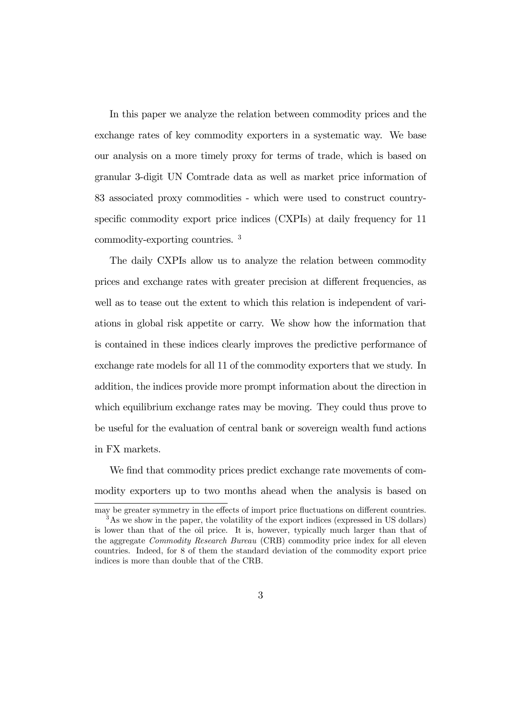In this paper we analyze the relation between commodity prices and the exchange rates of key commodity exporters in a systematic way. We base our analysis on a more timely proxy for terms of trade, which is based on granular 3-digit UN Comtrade data as well as market price information of 83 associated proxy commodities - which were used to construct countryspecific commodity export price indices (CXPIs) at daily frequency for 11 commodity-exporting countries. <sup>3</sup>

The daily CXPIs allow us to analyze the relation between commodity prices and exchange rates with greater precision at different frequencies, as well as to tease out the extent to which this relation is independent of variations in global risk appetite or carry. We show how the information that is contained in these indices clearly improves the predictive performance of exchange rate models for all 11 of the commodity exporters that we study. In addition, the indices provide more prompt information about the direction in which equilibrium exchange rates may be moving. They could thus prove to be useful for the evaluation of central bank or sovereign wealth fund actions in FX markets.

We find that commodity prices predict exchange rate movements of commodity exporters up to two months ahead when the analysis is based on

may be greater symmetry in the effects of import price fluctuations on different countries. <sup>3</sup>As we show in the paper, the volatility of the export indices (expressed in US dollars) is lower than that of the oil price. It is, however, typically much larger than that of the aggregate Commodity Research Bureau (CRB) commodity price index for all eleven countries. Indeed, for 8 of them the standard deviation of the commodity export price indices is more than double that of the CRB.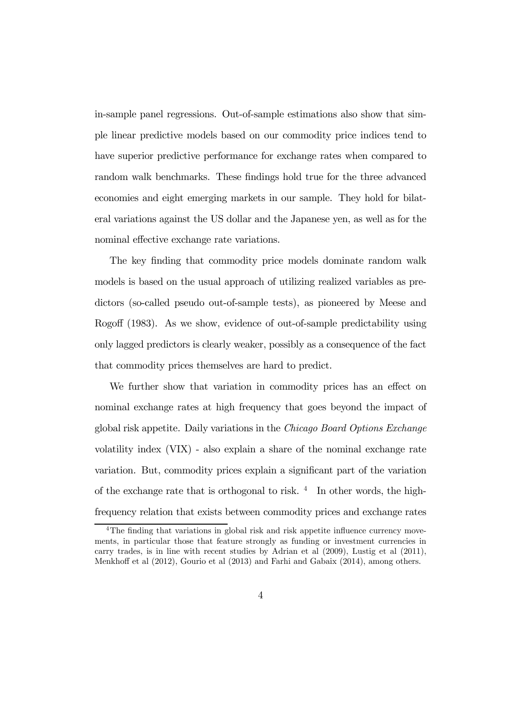in-sample panel regressions. Out-of-sample estimations also show that simple linear predictive models based on our commodity price indices tend to have superior predictive performance for exchange rates when compared to random walk benchmarks. These findings hold true for the three advanced economies and eight emerging markets in our sample. They hold for bilateral variations against the US dollar and the Japanese yen, as well as for the nominal effective exchange rate variations.

The key finding that commodity price models dominate random walk models is based on the usual approach of utilizing realized variables as predictors (so-called pseudo out-of-sample tests), as pioneered by Meese and Rogoff (1983). As we show, evidence of out-of-sample predictability using only lagged predictors is clearly weaker, possibly as a consequence of the fact that commodity prices themselves are hard to predict.

We further show that variation in commodity prices has an effect on nominal exchange rates at high frequency that goes beyond the impact of global risk appetite. Daily variations in the Chicago Board Options Exchange volatility index (VIX) - also explain a share of the nominal exchange rate variation. But, commodity prices explain a significant part of the variation of the exchange rate that is orthogonal to risk.  $4\,$  In other words, the highfrequency relation that exists between commodity prices and exchange rates

<sup>&</sup>lt;sup>4</sup>The finding that variations in global risk and risk appetite influence currency movements, in particular those that feature strongly as funding or investment currencies in carry trades, is in line with recent studies by Adrian et al (2009), Lustig et al (2011), Menkhoff et al (2012), Gourio et al (2013) and Farhi and Gabaix (2014), among others.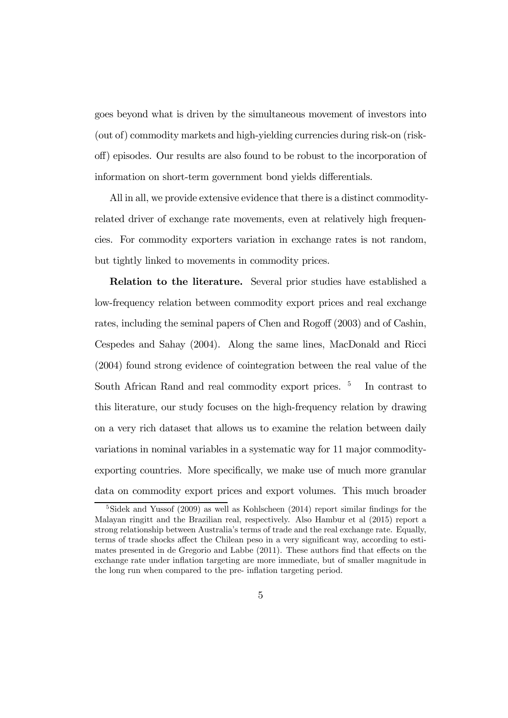goes beyond what is driven by the simultaneous movement of investors into (out of) commodity markets and high-yielding currencies during risk-on (riskoff) episodes. Our results are also found to be robust to the incorporation of information on short-term government bond yields differentials.

All in all, we provide extensive evidence that there is a distinct commodityrelated driver of exchange rate movements, even at relatively high frequencies. For commodity exporters variation in exchange rates is not random, but tightly linked to movements in commodity prices.

Relation to the literature. Several prior studies have established a low-frequency relation between commodity export prices and real exchange rates, including the seminal papers of Chen and Rogoff (2003) and of Cashin, Cespedes and Sahay (2004). Along the same lines, MacDonald and Ricci (2004) found strong evidence of cointegration between the real value of the South African Rand and real commodity export prices. <sup>5</sup> In contrast to this literature, our study focuses on the high-frequency relation by drawing on a very rich dataset that allows us to examine the relation between daily variations in nominal variables in a systematic way for 11 major commodityexporting countries. More specifically, we make use of much more granular data on commodity export prices and export volumes. This much broader

 $5$ Sidek and Yussof (2009) as well as Kohlscheen (2014) report similar findings for the Malayan ringitt and the Brazilian real, respectively. Also Hambur et al (2015) report a strong relationship between Australia's terms of trade and the real exchange rate. Equally, terms of trade shocks affect the Chilean peso in a very significant way, according to estimates presented in de Gregorio and Labbe (2011). These authors find that effects on the exchange rate under inflation targeting are more immediate, but of smaller magnitude in the long run when compared to the pre- inflation targeting period.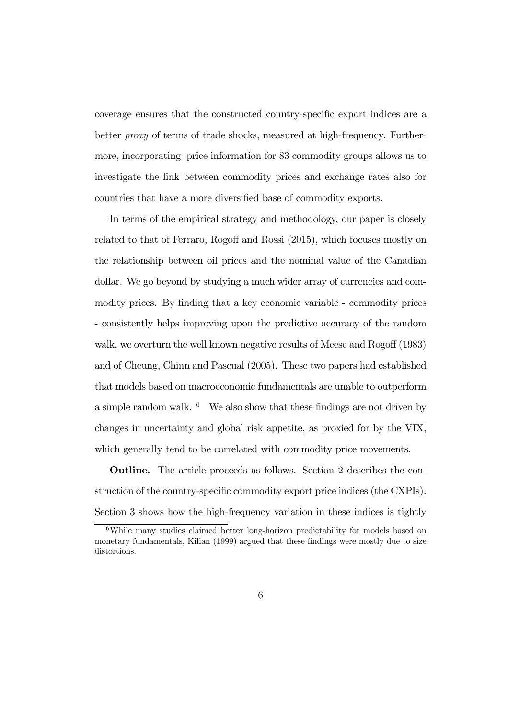coverage ensures that the constructed country-specific export indices are a better proxy of terms of trade shocks, measured at high-frequency. Furthermore, incorporating price information for 83 commodity groups allows us to investigate the link between commodity prices and exchange rates also for countries that have a more diversified base of commodity exports.

In terms of the empirical strategy and methodology, our paper is closely related to that of Ferraro, Rogoff and Rossi (2015), which focuses mostly on the relationship between oil prices and the nominal value of the Canadian dollar. We go beyond by studying a much wider array of currencies and commodity prices. By finding that a key economic variable - commodity prices - consistently helps improving upon the predictive accuracy of the random walk, we overturn the well known negative results of Meese and Rogoff (1983) and of Cheung, Chinn and Pascual (2005). These two papers had established that models based on macroeconomic fundamentals are unable to outperform a simple random walk.  $6$  We also show that these findings are not driven by changes in uncertainty and global risk appetite, as proxied for by the VIX, which generally tend to be correlated with commodity price movements.

Outline. The article proceeds as follows. Section 2 describes the construction of the country-specific commodity export price indices (the CXPIs). Section 3 shows how the high-frequency variation in these indices is tightly

<sup>6</sup>While many studies claimed better long-horizon predictability for models based on monetary fundamentals, Kilian (1999) argued that these findings were mostly due to size distortions.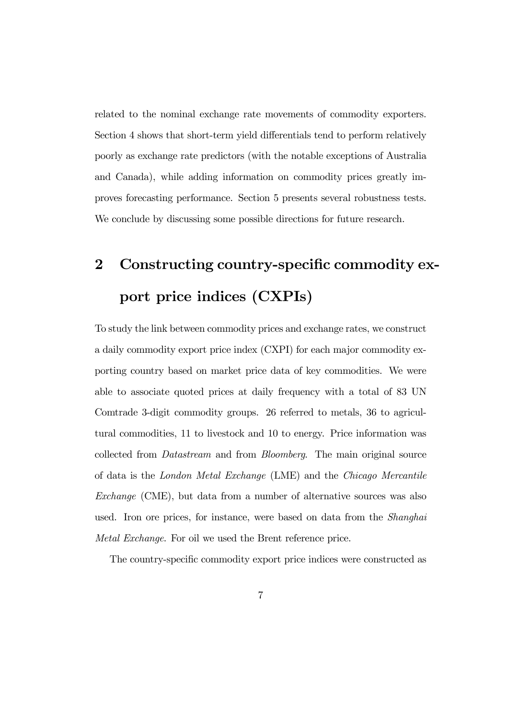related to the nominal exchange rate movements of commodity exporters. Section 4 shows that short-term yield differentials tend to perform relatively poorly as exchange rate predictors (with the notable exceptions of Australia and Canada), while adding information on commodity prices greatly improves forecasting performance. Section 5 presents several robustness tests. We conclude by discussing some possible directions for future research.

# 2 Constructing country-specific commodity export price indices (CXPIs)

To study the link between commodity prices and exchange rates, we construct a daily commodity export price index (CXPI) for each major commodity exporting country based on market price data of key commodities. We were able to associate quoted prices at daily frequency with a total of 83 UN Comtrade 3-digit commodity groups. 26 referred to metals, 36 to agricultural commodities, 11 to livestock and 10 to energy. Price information was collected from Datastream and from Bloomberg. The main original source of data is the London Metal Exchange (LME) and the Chicago Mercantile Exchange (CME), but data from a number of alternative sources was also used. Iron ore prices, for instance, were based on data from the Shanghai Metal Exchange. For oil we used the Brent reference price.

The country-specific commodity export price indices were constructed as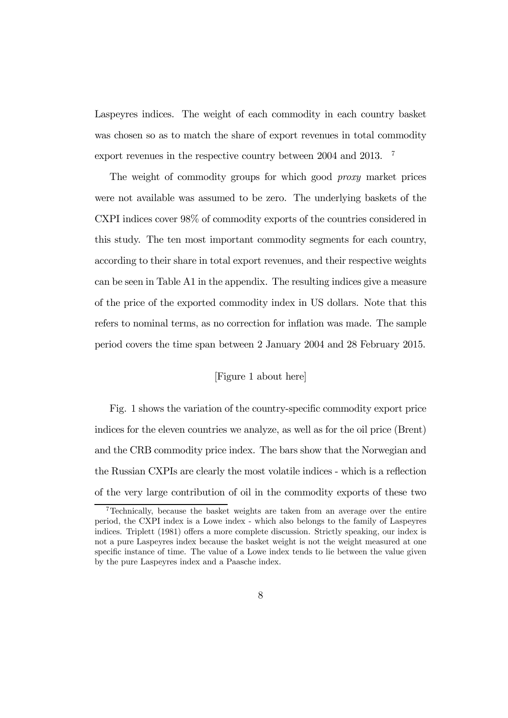Laspeyres indices. The weight of each commodity in each country basket was chosen so as to match the share of export revenues in total commodity export revenues in the respective country between 2004 and 2013. <sup>7</sup>

The weight of commodity groups for which good proxy market prices were not available was assumed to be zero. The underlying baskets of the CXPI indices cover 98% of commodity exports of the countries considered in this study. The ten most important commodity segments for each country, according to their share in total export revenues, and their respective weights can be seen in Table A1 in the appendix. The resulting indices give a measure of the price of the exported commodity index in US dollars. Note that this refers to nominal terms, as no correction for inflation was made. The sample period covers the time span between 2 January 2004 and 28 February 2015.

### [Figure 1 about here]

Fig. 1 shows the variation of the country-specific commodity export price indices for the eleven countries we analyze, as well as for the oil price (Brent) and the CRB commodity price index. The bars show that the Norwegian and the Russian CXPIs are clearly the most volatile indices - which is a reflection of the very large contribution of oil in the commodity exports of these two

<sup>7</sup>Technically, because the basket weights are taken from an average over the entire period, the CXPI index is a Lowe index - which also belongs to the family of Laspeyres indices. Triplett (1981) offers a more complete discussion. Strictly speaking, our index is not a pure Laspeyres index because the basket weight is not the weight measured at one specific instance of time. The value of a Lowe index tends to lie between the value given by the pure Laspeyres index and a Paasche index.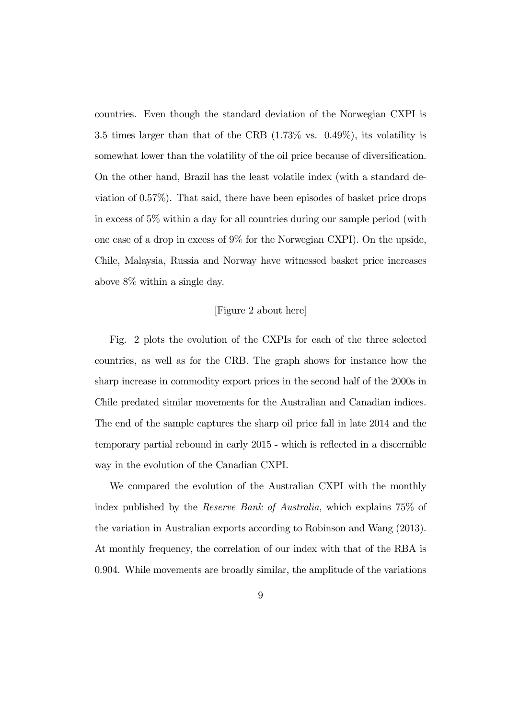countries. Even though the standard deviation of the Norwegian CXPI is 3.5 times larger than that of the CRB (1.73% vs. 0.49%), its volatility is somewhat lower than the volatility of the oil price because of diversification. On the other hand, Brazil has the least volatile index (with a standard deviation of 0.57%). That said, there have been episodes of basket price drops in excess of 5% within a day for all countries during our sample period (with one case of a drop in excess of 9% for the Norwegian CXPI). On the upside, Chile, Malaysia, Russia and Norway have witnessed basket price increases above 8% within a single day.

### [Figure 2 about here]

Fig. 2 plots the evolution of the CXPIs for each of the three selected countries, as well as for the CRB. The graph shows for instance how the sharp increase in commodity export prices in the second half of the 2000s in Chile predated similar movements for the Australian and Canadian indices. The end of the sample captures the sharp oil price fall in late 2014 and the temporary partial rebound in early 2015 - which is reflected in a discernible way in the evolution of the Canadian CXPI.

We compared the evolution of the Australian CXPI with the monthly index published by the Reserve Bank of Australia, which explains 75% of the variation in Australian exports according to Robinson and Wang (2013). At monthly frequency, the correlation of our index with that of the RBA is 0.904. While movements are broadly similar, the amplitude of the variations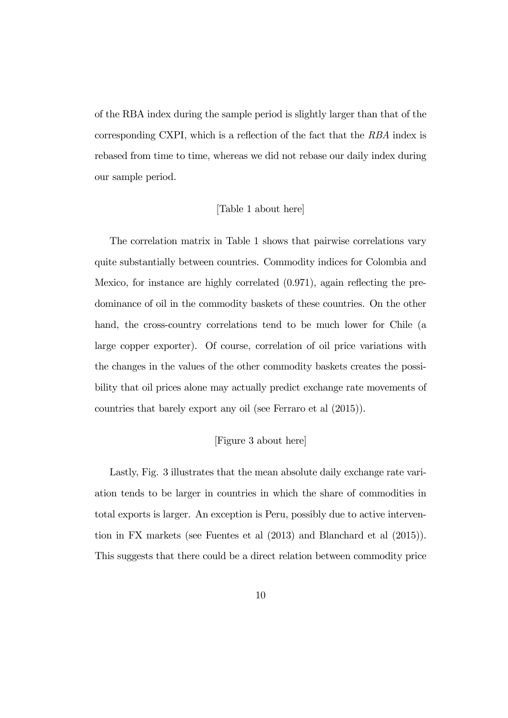of the RBA index during the sample period is slightly larger than that of the corresponding CXPI, which is a reflection of the fact that the RBA index is rebased from time to time, whereas we did not rebase our daily index during our sample period.

### [Table 1 about here]

The correlation matrix in Table 1 shows that pairwise correlations vary quite substantially between countries. Commodity indices for Colombia and Mexico, for instance are highly correlated (0.971), again reflecting the predominance of oil in the commodity baskets of these countries. On the other hand, the cross-country correlations tend to be much lower for Chile (a large copper exporter). Of course, correlation of oil price variations with the changes in the values of the other commodity baskets creates the possibility that oil prices alone may actually predict exchange rate movements of countries that barely export any oil (see Ferraro et al (2015)).

#### [Figure 3 about here]

Lastly, Fig. 3 illustrates that the mean absolute daily exchange rate variation tends to be larger in countries in which the share of commodities in total exports is larger. An exception is Peru, possibly due to active intervention in FX markets (see Fuentes et al (2013) and Blanchard et al (2015)). This suggests that there could be a direct relation between commodity price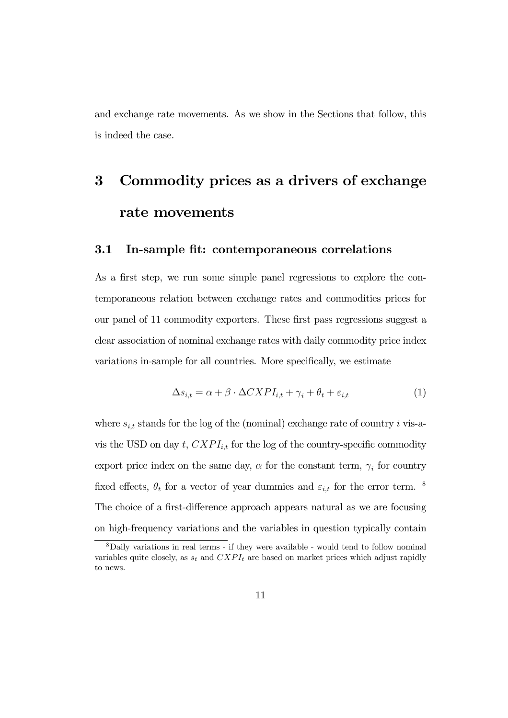and exchange rate movements. As we show in the Sections that follow, this is indeed the case.

# 3 Commodity prices as a drivers of exchange rate movements

### 3.1 In-sample fit: contemporaneous correlations

As a first step, we run some simple panel regressions to explore the contemporaneous relation between exchange rates and commodities prices for our panel of 11 commodity exporters. These first pass regressions suggest a clear association of nominal exchange rates with daily commodity price index variations in-sample for all countries. More specifically, we estimate

$$
\Delta s_{i,t} = \alpha + \beta \cdot \Delta CXPI_{i,t} + \gamma_i + \theta_t + \varepsilon_{i,t} \tag{1}
$$

where  $s_{i,t}$  stands for the log of the (nominal) exchange rate of country *i* vis-avis the USD on day  $t, CXPI_{i,t}$  for the log of the country-specific commodity export price index on the same day,  $\alpha$  for the constant term,  $\gamma_i$  for country fixed effects,  $\theta_t$  for a vector of year dummies and  $\varepsilon_{i,t}$  for the error term. <sup>8</sup> The choice of a first-difference approach appears natural as we are focusing on high-frequency variations and the variables in question typically contain

<sup>8</sup>Daily variations in real terms - if they were available - would tend to follow nominal variables quite closely, as  $s_t$  and  $CXPI_t$  are based on market prices which adjust rapidly to news.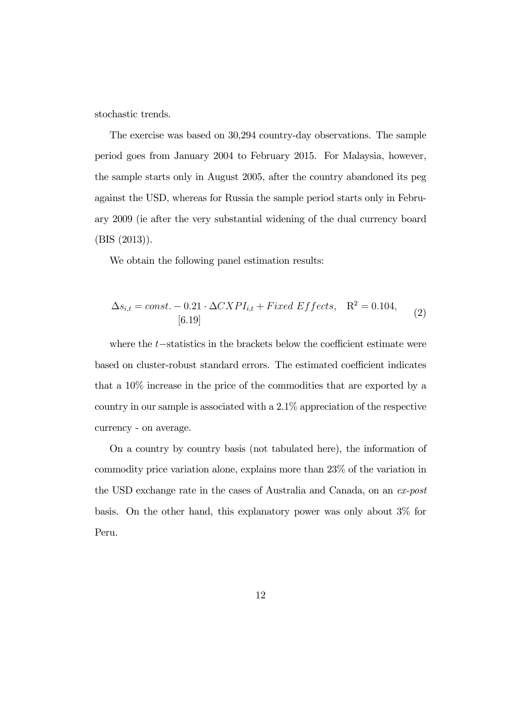stochastic trends.

The exercise was based on 30,294 country-day observations. The sample period goes from January 2004 to February 2015. For Malaysia, however, the sample starts only in August 2005, after the country abandoned its peg against the USD, whereas for Russia the sample period starts only in February 2009 (ie after the very substantial widening of the dual currency board (BIS (2013)).

We obtain the following panel estimation results:

$$
\Delta s_{i,t} = const. - 0.21 \cdot \Delta CXPI_{i,t} + Fixed Effects, \quad R^2 = 0.104,
$$
  
[6.19] (2)

where the  $t$ -statistics in the brackets below the coefficient estimate were based on cluster-robust standard errors. The estimated coefficient indicates that a 10% increase in the price of the commodities that are exported by a country in our sample is associated with a 2.1% appreciation of the respective currency - on average.

On a country by country basis (not tabulated here), the information of commodity price variation alone, explains more than 23% of the variation in the USD exchange rate in the cases of Australia and Canada, on an ex-post basis. On the other hand, this explanatory power was only about 3% for Peru.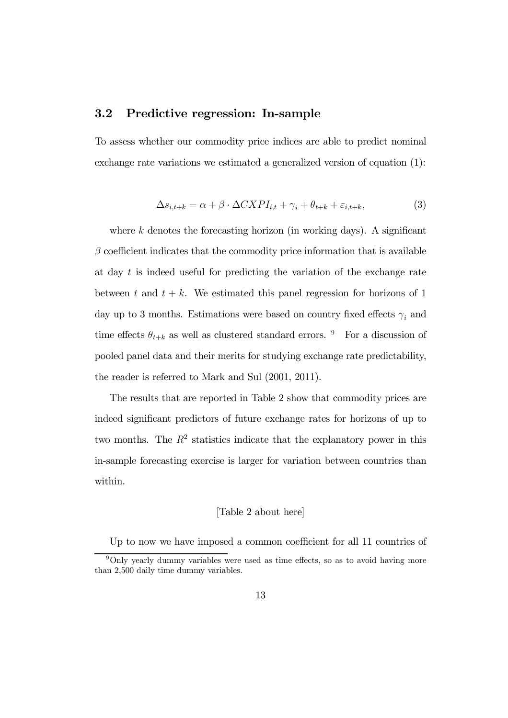### 3.2 Predictive regression: In-sample

To assess whether our commodity price indices are able to predict nominal exchange rate variations we estimated a generalized version of equation (1):

$$
\Delta s_{i,t+k} = \alpha + \beta \cdot \Delta CXPI_{i,t} + \gamma_i + \theta_{t+k} + \varepsilon_{i,t+k},\tag{3}
$$

where  $k$  denotes the forecasting horizon (in working days). A significant  $\beta$  coefficient indicates that the commodity price information that is available at day  $t$  is indeed useful for predicting the variation of the exchange rate between t and  $t + k$ . We estimated this panel regression for horizons of 1 day up to 3 months. Estimations were based on country fixed effects  $\gamma_i$  and time effects  $\theta_{t+k}$  as well as clustered standard errors. <sup>9</sup> For a discussion of pooled panel data and their merits for studying exchange rate predictability, the reader is referred to Mark and Sul (2001, 2011).

The results that are reported in Table 2 show that commodity prices are indeed significant predictors of future exchange rates for horizons of up to two months. The  $R^2$  statistics indicate that the explanatory power in this in-sample forecasting exercise is larger for variation between countries than within.

### [Table 2 about here]

Up to now we have imposed a common coefficient for all 11 countries of

<sup>&</sup>lt;sup>9</sup>Only yearly dummy variables were used as time effects, so as to avoid having more than 2,500 daily time dummy variables.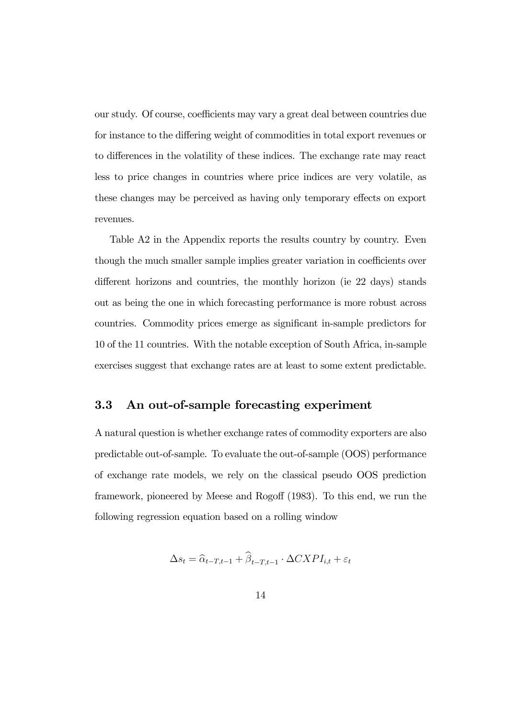our study. Of course, coefficients may vary a great deal between countries due for instance to the differing weight of commodities in total export revenues or to differences in the volatility of these indices. The exchange rate may react less to price changes in countries where price indices are very volatile, as these changes may be perceived as having only temporary effects on export revenues.

Table A2 in the Appendix reports the results country by country. Even though the much smaller sample implies greater variation in coefficients over different horizons and countries, the monthly horizon (ie 22 days) stands out as being the one in which forecasting performance is more robust across countries. Commodity prices emerge as significant in-sample predictors for 10 of the 11 countries. With the notable exception of South Africa, in-sample exercises suggest that exchange rates are at least to some extent predictable.

### 3.3 An out-of-sample forecasting experiment

A natural question is whether exchange rates of commodity exporters are also predictable out-of-sample. To evaluate the out-of-sample (OOS) performance of exchange rate models, we rely on the classical pseudo OOS prediction framework, pioneered by Meese and Rogoff (1983). To this end, we run the following regression equation based on a rolling window

$$
\Delta s_t = \hat{\alpha}_{t-T,t-1} + \hat{\beta}_{t-T,t-1} \cdot \Delta CXPI_{i,t} + \varepsilon_t
$$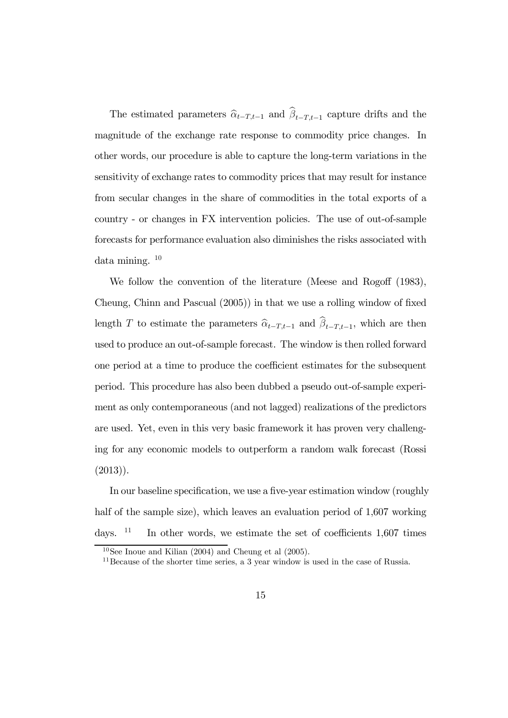The estimated parameters  $\hat{\alpha}_{t-T,t-1}$  and  $\beta_{t-T,t-1}$  capture drifts and the magnitude of the exchange rate response to commodity price changes. In other words, our procedure is able to capture the long-term variations in the sensitivity of exchange rates to commodity prices that may result for instance from secular changes in the share of commodities in the total exports of a country - or changes in FX intervention policies. The use of out-of-sample forecasts for performance evaluation also diminishes the risks associated with data mining.  $10$ 

We follow the convention of the literature (Meese and Rogoff (1983), Cheung, Chinn and Pascual (2005)) in that we use a rolling window of fixed length T to estimate the parameters  $\hat{\alpha}_{t-T,t-1}$  and  $\beta_{t-T,t-1}$ , which are then used to produce an out-of-sample forecast. The window is then rolled forward one period at a time to produce the coefficient estimates for the subsequent period. This procedure has also been dubbed a pseudo out-of-sample experiment as only contemporaneous (and not lagged) realizations of the predictors are used. Yet, even in this very basic framework it has proven very challenging for any economic models to outperform a random walk forecast (Rossi (2013)).

In our baseline specification, we use a five-year estimation window (roughly half of the sample size), which leaves an evaluation period of 1,607 working days.  $11$  In other words, we estimate the set of coefficients 1,607 times

 $10$ See Inoue and Kilian (2004) and Cheung et al (2005).

<sup>&</sup>lt;sup>11</sup> Because of the shorter time series, a 3 year window is used in the case of Russia.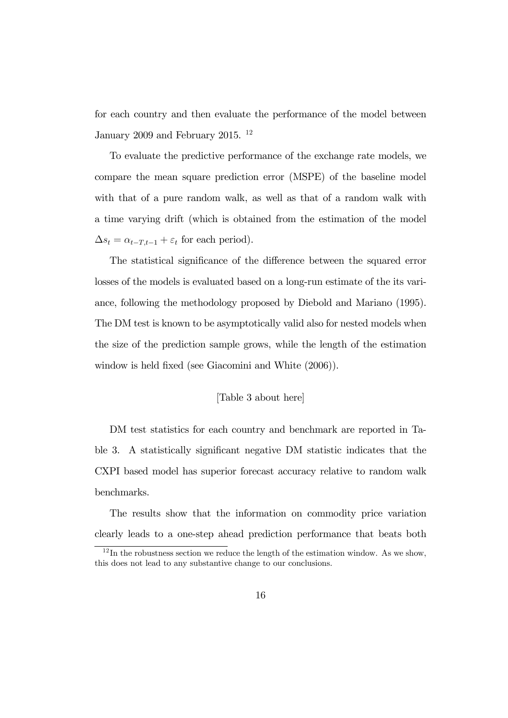for each country and then evaluate the performance of the model between January 2009 and February 2015. <sup>12</sup>

To evaluate the predictive performance of the exchange rate models, we compare the mean square prediction error (MSPE) of the baseline model with that of a pure random walk, as well as that of a random walk with a time varying drift (which is obtained from the estimation of the model  $\Delta s_t = \alpha_{t-T,t-1} + \varepsilon_t$  for each period).

The statistical significance of the difference between the squared error losses of the models is evaluated based on a long-run estimate of the its variance, following the methodology proposed by Diebold and Mariano (1995). The DM test is known to be asymptotically valid also for nested models when the size of the prediction sample grows, while the length of the estimation window is held fixed (see Giacomini and White (2006)).

### [Table 3 about here]

DM test statistics for each country and benchmark are reported in Table 3. A statistically significant negative DM statistic indicates that the CXPI based model has superior forecast accuracy relative to random walk benchmarks.

The results show that the information on commodity price variation clearly leads to a one-step ahead prediction performance that beats both

 $12$ In the robustness section we reduce the length of the estimation window. As we show, this does not lead to any substantive change to our conclusions.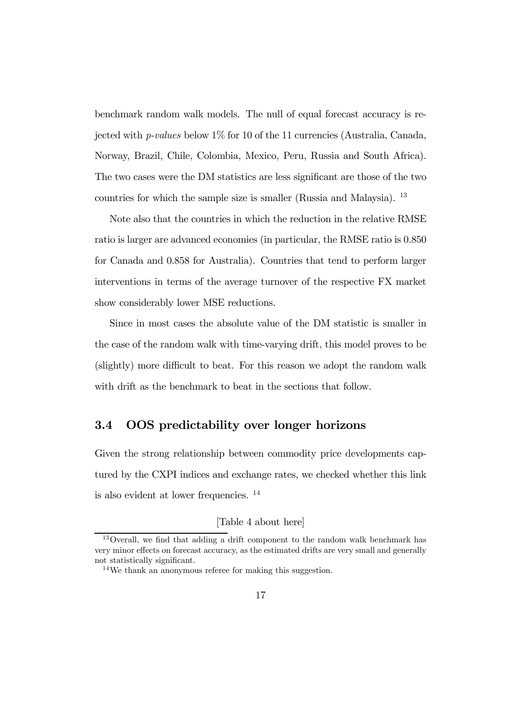benchmark random walk models. The null of equal forecast accuracy is rejected with p-values below 1% for 10 of the 11 currencies (Australia, Canada, Norway, Brazil, Chile, Colombia, Mexico, Peru, Russia and South Africa). The two cases were the DM statistics are less significant are those of the two countries for which the sample size is smaller (Russia and Malaysia). <sup>13</sup>

Note also that the countries in which the reduction in the relative RMSE ratio is larger are advanced economies (in particular, the RMSE ratio is 0.850 for Canada and 0.858 for Australia). Countries that tend to perform larger interventions in terms of the average turnover of the respective FX market show considerably lower MSE reductions.

Since in most cases the absolute value of the DM statistic is smaller in the case of the random walk with time-varying drift, this model proves to be (slightly) more difficult to beat. For this reason we adopt the random walk with drift as the benchmark to beat in the sections that follow.

### 3.4 OOS predictability over longer horizons

Given the strong relationship between commodity price developments captured by the CXPI indices and exchange rates, we checked whether this link is also evident at lower frequencies. <sup>14</sup>

### [Table 4 about here]

<sup>13</sup>Overall, we find that adding a drift component to the random walk benchmark has very minor effects on forecast accuracy, as the estimated drifts are very small and generally not statistically significant.

<sup>14</sup>We thank an anonymous referee for making this suggestion.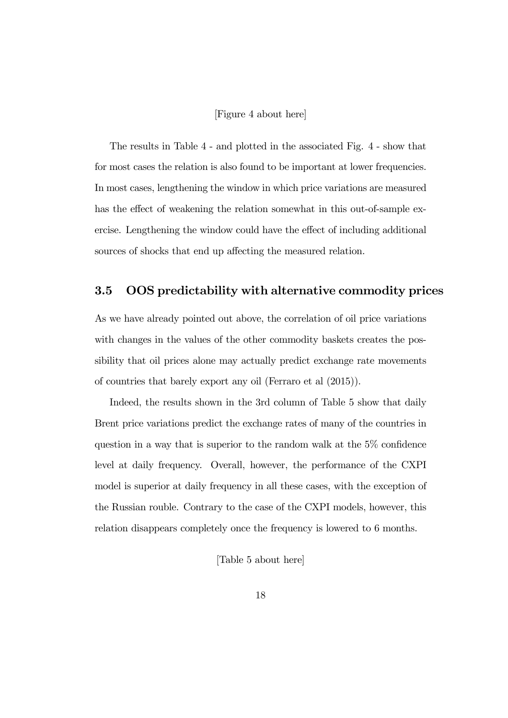#### [Figure 4 about here]

The results in Table 4 - and plotted in the associated Fig. 4 - show that for most cases the relation is also found to be important at lower frequencies. In most cases, lengthening the window in which price variations are measured has the effect of weakening the relation somewhat in this out-of-sample exercise. Lengthening the window could have the effect of including additional sources of shocks that end up affecting the measured relation.

### 3.5 OOS predictability with alternative commodity prices

As we have already pointed out above, the correlation of oil price variations with changes in the values of the other commodity baskets creates the possibility that oil prices alone may actually predict exchange rate movements of countries that barely export any oil (Ferraro et al (2015)).

Indeed, the results shown in the 3rd column of Table 5 show that daily Brent price variations predict the exchange rates of many of the countries in question in a way that is superior to the random walk at the 5% confidence level at daily frequency. Overall, however, the performance of the CXPI model is superior at daily frequency in all these cases, with the exception of the Russian rouble. Contrary to the case of the CXPI models, however, this relation disappears completely once the frequency is lowered to 6 months.

[Table 5 about here]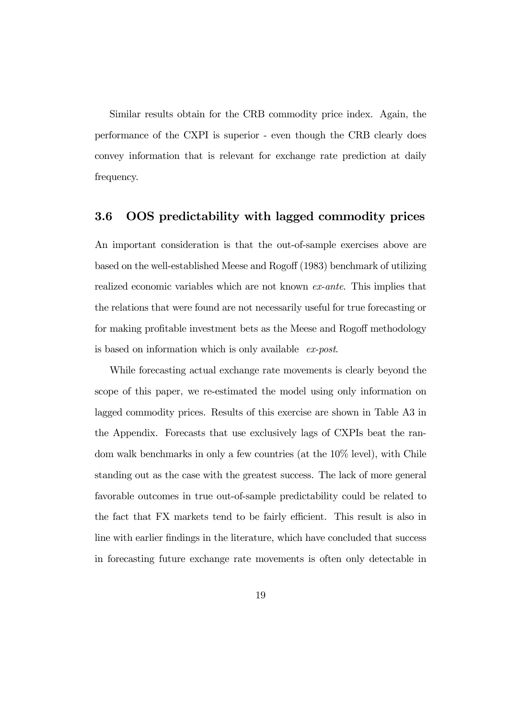Similar results obtain for the CRB commodity price index. Again, the performance of the CXPI is superior - even though the CRB clearly does convey information that is relevant for exchange rate prediction at daily frequency.

### 3.6 OOS predictability with lagged commodity prices

An important consideration is that the out-of-sample exercises above are based on the well-established Meese and Rogoff (1983) benchmark of utilizing realized economic variables which are not known ex-ante. This implies that the relations that were found are not necessarily useful for true forecasting or for making profitable investment bets as the Meese and Rogoff methodology is based on information which is only available ex-post.

While forecasting actual exchange rate movements is clearly beyond the scope of this paper, we re-estimated the model using only information on lagged commodity prices. Results of this exercise are shown in Table A3 in the Appendix. Forecasts that use exclusively lags of CXPIs beat the random walk benchmarks in only a few countries (at the 10% level), with Chile standing out as the case with the greatest success. The lack of more general favorable outcomes in true out-of-sample predictability could be related to the fact that FX markets tend to be fairly efficient. This result is also in line with earlier findings in the literature, which have concluded that success in forecasting future exchange rate movements is often only detectable in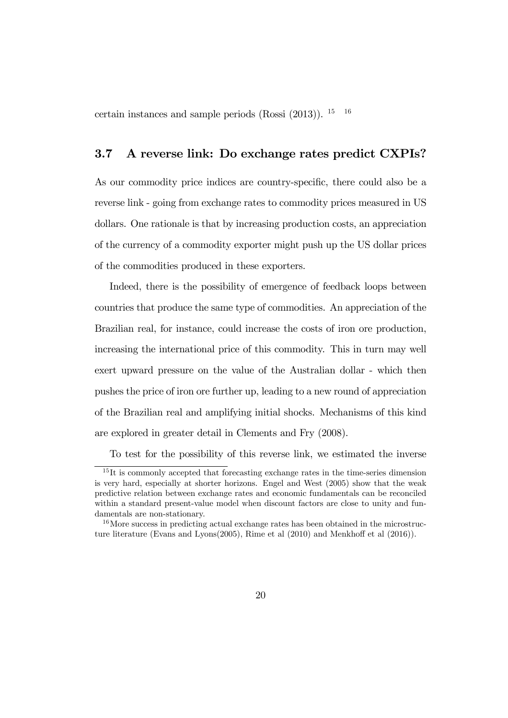certain instances and sample periods (Rossi  $(2013)$ ). <sup>15</sup> <sup>16</sup>

### 3.7 A reverse link: Do exchange rates predict CXPIs?

As our commodity price indices are country-specific, there could also be a reverse link - going from exchange rates to commodity prices measured in US dollars. One rationale is that by increasing production costs, an appreciation of the currency of a commodity exporter might push up the US dollar prices of the commodities produced in these exporters.

Indeed, there is the possibility of emergence of feedback loops between countries that produce the same type of commodities. An appreciation of the Brazilian real, for instance, could increase the costs of iron ore production, increasing the international price of this commodity. This in turn may well exert upward pressure on the value of the Australian dollar - which then pushes the price of iron ore further up, leading to a new round of appreciation of the Brazilian real and amplifying initial shocks. Mechanisms of this kind are explored in greater detail in Clements and Fry (2008).

To test for the possibility of this reverse link, we estimated the inverse

<sup>&</sup>lt;sup>15</sup>It is commonly accepted that forecasting exchange rates in the time-series dimension is very hard, especially at shorter horizons. Engel and West (2005) show that the weak predictive relation between exchange rates and economic fundamentals can be reconciled within a standard present-value model when discount factors are close to unity and fundamentals are non-stationary.

<sup>&</sup>lt;sup>16</sup>More success in predicting actual exchange rates has been obtained in the microstructure literature (Evans and Lyons(2005), Rime et al (2010) and Menkhoff et al (2016)).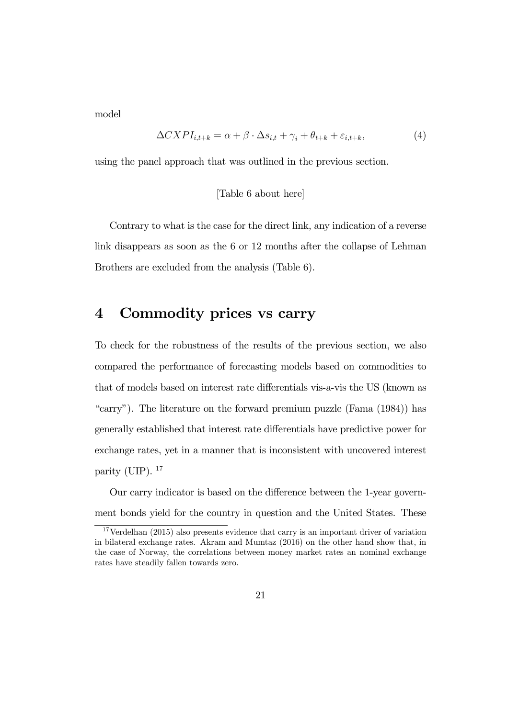model

$$
\Delta CXPI_{i,t+k} = \alpha + \beta \cdot \Delta s_{i,t} + \gamma_i + \theta_{t+k} + \varepsilon_{i,t+k},\tag{4}
$$

using the panel approach that was outlined in the previous section.

### [Table 6 about here]

Contrary to what is the case for the direct link, any indication of a reverse link disappears as soon as the 6 or 12 months after the collapse of Lehman Brothers are excluded from the analysis (Table 6).

### 4 Commodity prices vs carry

To check for the robustness of the results of the previous section, we also compared the performance of forecasting models based on commodities to that of models based on interest rate differentials vis-a-vis the US (known as "carry"). The literature on the forward premium puzzle (Fama (1984)) has generally established that interest rate differentials have predictive power for exchange rates, yet in a manner that is inconsistent with uncovered interest parity (UIP).  $^{17}$ 

Our carry indicator is based on the difference between the 1-year government bonds yield for the country in question and the United States. These

<sup>&</sup>lt;sup>17</sup>Verdelhan (2015) also presents evidence that carry is an important driver of variation in bilateral exchange rates. Akram and Mumtaz (2016) on the other hand show that, in the case of Norway, the correlations between money market rates an nominal exchange rates have steadily fallen towards zero.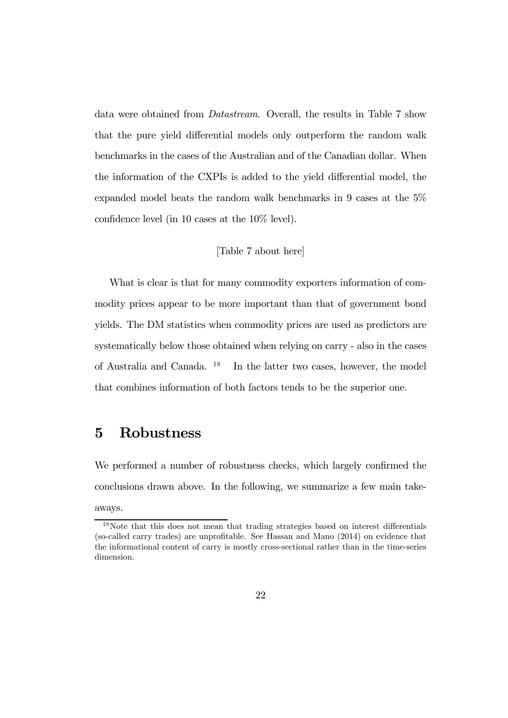data were obtained from Datastream. Overall, the results in Table 7 show that the pure yield differential models only outperform the random walk benchmarks in the cases of the Australian and of the Canadian dollar. When the information of the CXPIs is added to the yield differential model, the expanded model beats the random walk benchmarks in 9 cases at the 5% confidence level (in 10 cases at the 10% level).

### [Table 7 about here]

What is clear is that for many commodity exporters information of commodity prices appear to be more important than that of government bond yields. The DM statistics when commodity prices are used as predictors are systematically below those obtained when relying on carry - also in the cases of Australia and Canada. <sup>18</sup> In the latter two cases, however, the model that combines information of both factors tends to be the superior one.

### 5 Robustness

We performed a number of robustness checks, which largely confirmed the conclusions drawn above. In the following, we summarize a few main takeaways.

<sup>18</sup>Note that this does not mean that trading strategies based on interest differentials (so-called carry trades) are unprofitable. See Hassan and Mano (2014) on evidence that the informational content of carry is mostly cross-sectional rather than in the time-series dimension.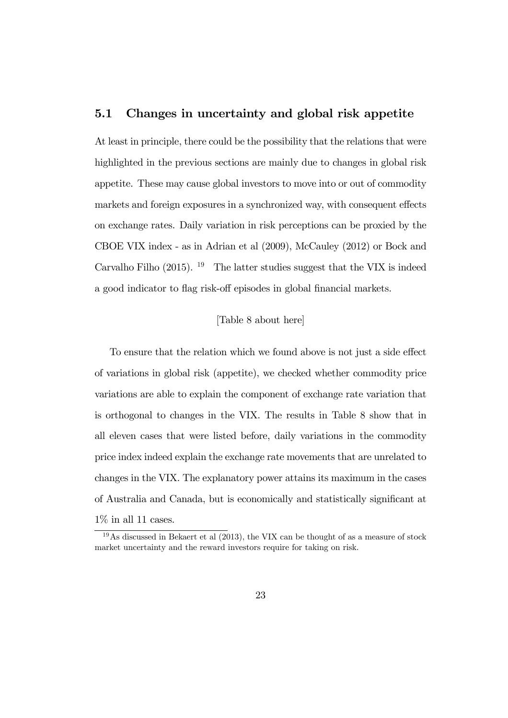### 5.1 Changes in uncertainty and global risk appetite

At least in principle, there could be the possibility that the relations that were highlighted in the previous sections are mainly due to changes in global risk appetite. These may cause global investors to move into or out of commodity markets and foreign exposures in a synchronized way, with consequent effects on exchange rates. Daily variation in risk perceptions can be proxied by the CBOE VIX index - as in Adrian et al (2009), McCauley (2012) or Bock and Carvalho Filho  $(2015)$ . <sup>19</sup> The latter studies suggest that the VIX is indeed a good indicator to flag risk-off episodes in global financial markets.

#### [Table 8 about here]

To ensure that the relation which we found above is not just a side effect of variations in global risk (appetite), we checked whether commodity price variations are able to explain the component of exchange rate variation that is orthogonal to changes in the VIX. The results in Table 8 show that in all eleven cases that were listed before, daily variations in the commodity price index indeed explain the exchange rate movements that are unrelated to changes in the VIX. The explanatory power attains its maximum in the cases of Australia and Canada, but is economically and statistically significant at  $1\%$  in all 11 cases.

 $19\text{ As discussed in Bekaert et al } (2013)$ , the VIX can be thought of as a measure of stock market uncertainty and the reward investors require for taking on risk.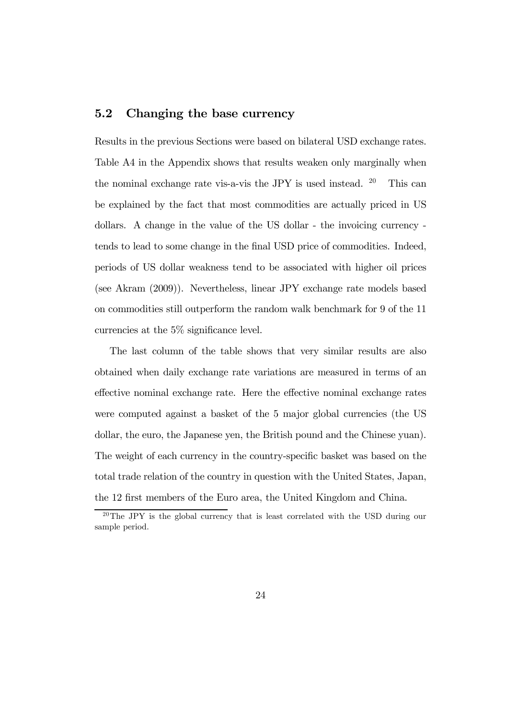### 5.2 Changing the base currency

Results in the previous Sections were based on bilateral USD exchange rates. Table A4 in the Appendix shows that results weaken only marginally when the nominal exchange rate vis-a-vis the JPY is used instead.  $20$  This can be explained by the fact that most commodities are actually priced in US dollars. A change in the value of the US dollar - the invoicing currency tends to lead to some change in the final USD price of commodities. Indeed, periods of US dollar weakness tend to be associated with higher oil prices (see Akram (2009)). Nevertheless, linear JPY exchange rate models based on commodities still outperform the random walk benchmark for 9 of the 11 currencies at the 5% significance level.

The last column of the table shows that very similar results are also obtained when daily exchange rate variations are measured in terms of an effective nominal exchange rate. Here the effective nominal exchange rates were computed against a basket of the 5 major global currencies (the US dollar, the euro, the Japanese yen, the British pound and the Chinese yuan). The weight of each currency in the country-specific basket was based on the total trade relation of the country in question with the United States, Japan, the 12 first members of the Euro area, the United Kingdom and China.

<sup>20</sup>The JPY is the global currency that is least correlated with the USD during our sample period.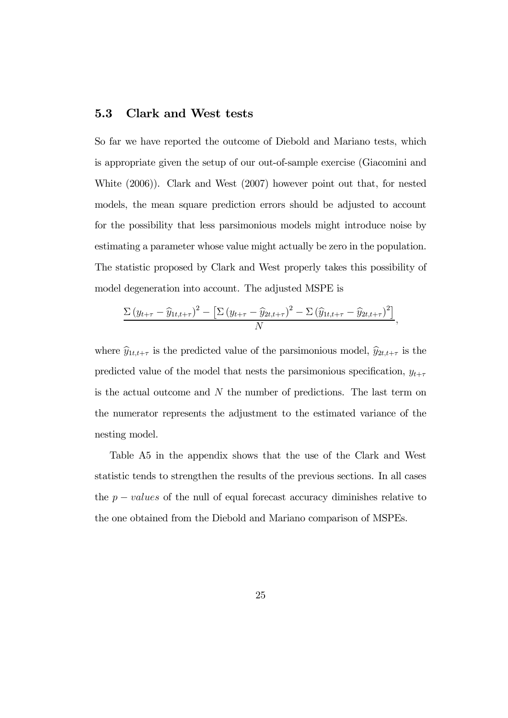### 5.3 Clark and West tests

So far we have reported the outcome of Diebold and Mariano tests, which is appropriate given the setup of our out-of-sample exercise (Giacomini and White (2006)). Clark and West (2007) however point out that, for nested models, the mean square prediction errors should be adjusted to account for the possibility that less parsimonious models might introduce noise by estimating a parameter whose value might actually be zero in the population. The statistic proposed by Clark and West properly takes this possibility of model degeneration into account. The adjusted MSPE is

$$
\frac{\Sigma (y_{t+\tau} - \widehat{y}_{1t,t+\tau})^2 - \left[\Sigma (y_{t+\tau} - \widehat{y}_{2t,t+\tau})^2 - \Sigma (\widehat{y}_{1t,t+\tau} - \widehat{y}_{2t,t+\tau})^2\right]}{N},
$$

where  $\widehat{y}_{1t,t+\tau}$  is the predicted value of the parsimonious model,  $\widehat{y}_{2t,t+\tau}$  is the predicted value of the model that nests the parsimonious specification,  $y_{t+\tau}$ is the actual outcome and  $N$  the number of predictions. The last term on the numerator represents the adjustment to the estimated variance of the nesting model.

Table A5 in the appendix shows that the use of the Clark and West statistic tends to strengthen the results of the previous sections. In all cases the  $p - values$  of the null of equal forecast accuracy diminishes relative to the one obtained from the Diebold and Mariano comparison of MSPEs.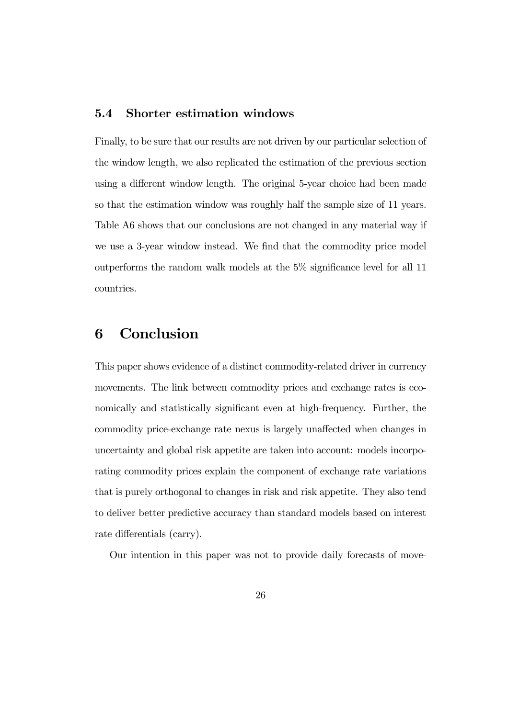### 5.4 Shorter estimation windows

Finally, to be sure that our results are not driven by our particular selection of the window length, we also replicated the estimation of the previous section using a different window length. The original 5-year choice had been made so that the estimation window was roughly half the sample size of 11 years. Table A6 shows that our conclusions are not changed in any material way if we use a 3-year window instead. We find that the commodity price model outperforms the random walk models at the 5% significance level for all 11 countries.

### 6 Conclusion

This paper shows evidence of a distinct commodity-related driver in currency movements. The link between commodity prices and exchange rates is economically and statistically significant even at high-frequency. Further, the commodity price-exchange rate nexus is largely unaffected when changes in uncertainty and global risk appetite are taken into account: models incorporating commodity prices explain the component of exchange rate variations that is purely orthogonal to changes in risk and risk appetite. They also tend to deliver better predictive accuracy than standard models based on interest rate differentials (carry).

Our intention in this paper was not to provide daily forecasts of move-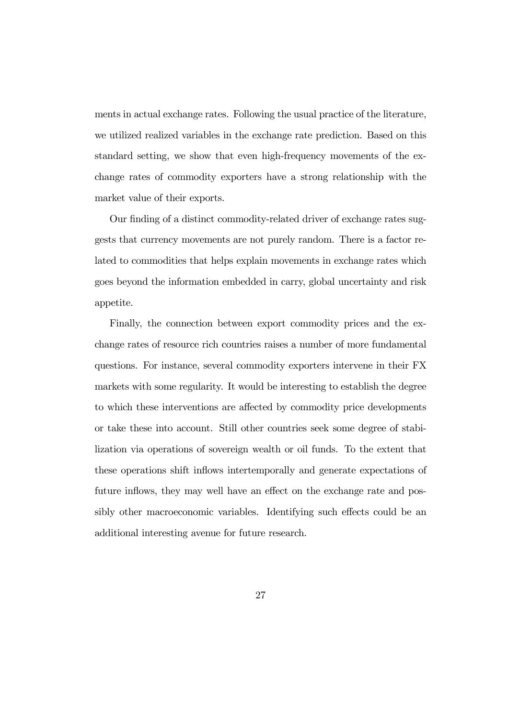ments in actual exchange rates. Following the usual practice of the literature, we utilized realized variables in the exchange rate prediction. Based on this standard setting, we show that even high-frequency movements of the exchange rates of commodity exporters have a strong relationship with the market value of their exports.

Our finding of a distinct commodity-related driver of exchange rates suggests that currency movements are not purely random. There is a factor related to commodities that helps explain movements in exchange rates which goes beyond the information embedded in carry, global uncertainty and risk appetite.

Finally, the connection between export commodity prices and the exchange rates of resource rich countries raises a number of more fundamental questions. For instance, several commodity exporters intervene in their FX markets with some regularity. It would be interesting to establish the degree to which these interventions are affected by commodity price developments or take these into account. Still other countries seek some degree of stabilization via operations of sovereign wealth or oil funds. To the extent that these operations shift inflows intertemporally and generate expectations of future inflows, they may well have an effect on the exchange rate and possibly other macroeconomic variables. Identifying such effects could be an additional interesting avenue for future research.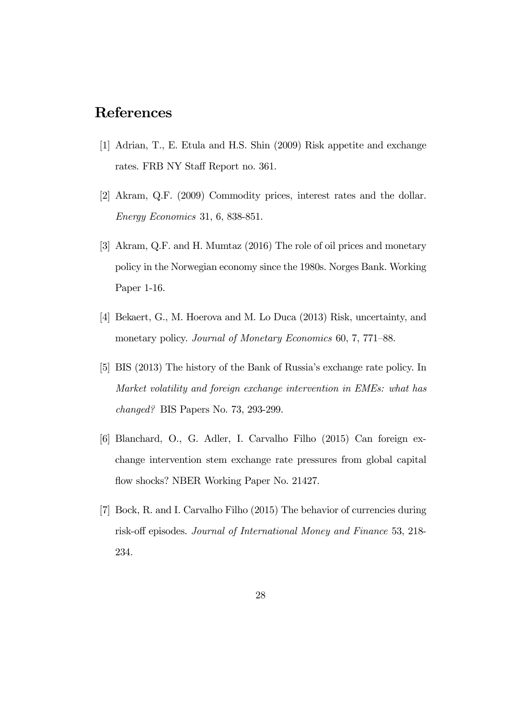### References

- [1] Adrian, T., E. Etula and H.S. Shin (2009) Risk appetite and exchange rates. FRB NY Staff Report no. 361.
- [2] Akram, Q.F. (2009) Commodity prices, interest rates and the dollar. Energy Economics 31, 6, 838-851.
- [3] Akram, Q.F. and H. Mumtaz (2016) The role of oil prices and monetary policy in the Norwegian economy since the 1980s. Norges Bank. Working Paper 1-16.
- [4] Bekaert, G., M. Hoerova and M. Lo Duca (2013) Risk, uncertainty, and monetary policy. Journal of Monetary Economics 60, 7, 771–88.
- [5] BIS (2013) The history of the Bank of Russia's exchange rate policy. In Market volatility and foreign exchange intervention in EMEs: what has changed? BIS Papers No. 73, 293-299.
- [6] Blanchard, O., G. Adler, I. Carvalho Filho (2015) Can foreign exchange intervention stem exchange rate pressures from global capital flow shocks? NBER Working Paper No. 21427.
- [7] Bock, R. and I. Carvalho Filho (2015) The behavior of currencies during risk-off episodes. Journal of International Money and Finance 53, 218- 234.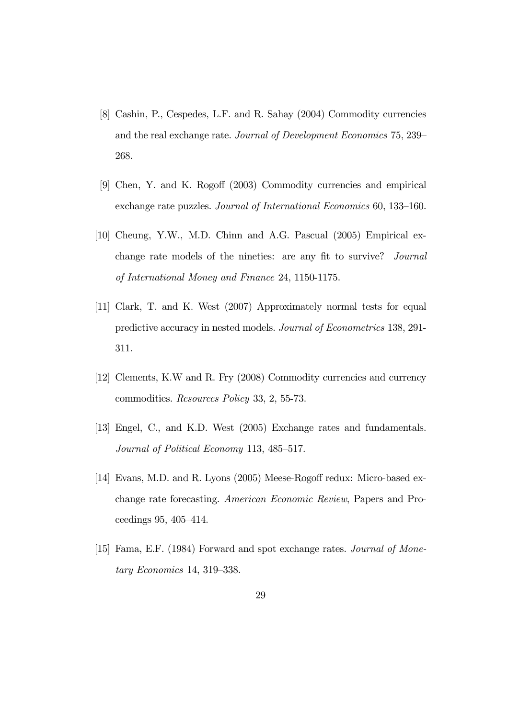- [8] Cashin, P., Cespedes, L.F. and R. Sahay (2004) Commodity currencies and the real exchange rate. Journal of Development Economics 75, 239— 268.
- [9] Chen, Y. and K. Rogoff (2003) Commodity currencies and empirical exchange rate puzzles. Journal of International Economics 60, 133—160.
- [10] Cheung, Y.W., M.D. Chinn and A.G. Pascual (2005) Empirical exchange rate models of the nineties: are any fit to survive? Journal of International Money and Finance 24, 1150-1175.
- [11] Clark, T. and K. West (2007) Approximately normal tests for equal predictive accuracy in nested models. Journal of Econometrics 138, 291- 311.
- [12] Clements, K.W and R. Fry (2008) Commodity currencies and currency commodities. Resources Policy 33, 2, 55-73.
- [13] Engel, C., and K.D. West (2005) Exchange rates and fundamentals. Journal of Political Economy 113, 485—517.
- [14] Evans, M.D. and R. Lyons (2005) Meese-Rogoff redux: Micro-based exchange rate forecasting. American Economic Review, Papers and Proceedings 95, 405—414.
- [15] Fama, E.F. (1984) Forward and spot exchange rates. Journal of Monetary Economics 14, 319—338.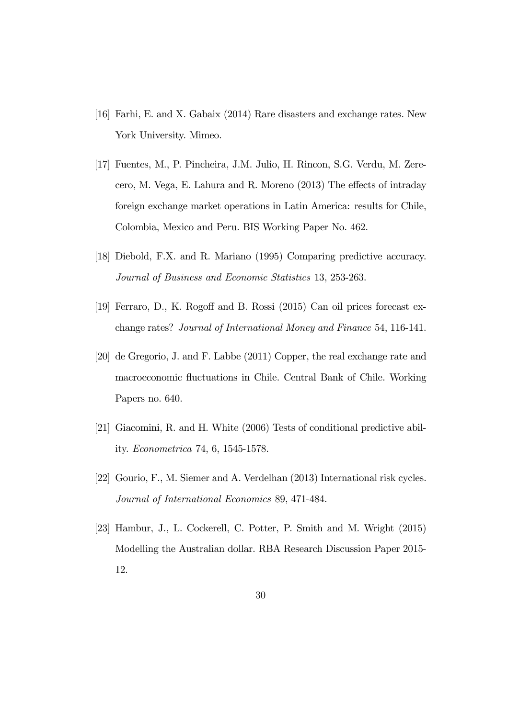- [16] Farhi, E. and X. Gabaix (2014) Rare disasters and exchange rates. New York University. Mimeo.
- [17] Fuentes, M., P. Pincheira, J.M. Julio, H. Rincon, S.G. Verdu, M. Zerecero, M. Vega, E. Lahura and R. Moreno (2013) The effects of intraday foreign exchange market operations in Latin America: results for Chile, Colombia, Mexico and Peru. BIS Working Paper No. 462.
- [18] Diebold, F.X. and R. Mariano (1995) Comparing predictive accuracy. Journal of Business and Economic Statistics 13, 253-263.
- [19] Ferraro, D., K. Rogoff and B. Rossi (2015) Can oil prices forecast exchange rates? Journal of International Money and Finance 54, 116-141.
- [20] de Gregorio, J. and F. Labbe (2011) Copper, the real exchange rate and macroeconomic fluctuations in Chile. Central Bank of Chile. Working Papers no. 640.
- [21] Giacomini, R. and H. White (2006) Tests of conditional predictive ability. Econometrica 74, 6, 1545-1578.
- [22] Gourio, F., M. Siemer and A. Verdelhan (2013) International risk cycles. Journal of International Economics 89, 471-484.
- [23] Hambur, J., L. Cockerell, C. Potter, P. Smith and M. Wright (2015) Modelling the Australian dollar. RBA Research Discussion Paper 2015- 12.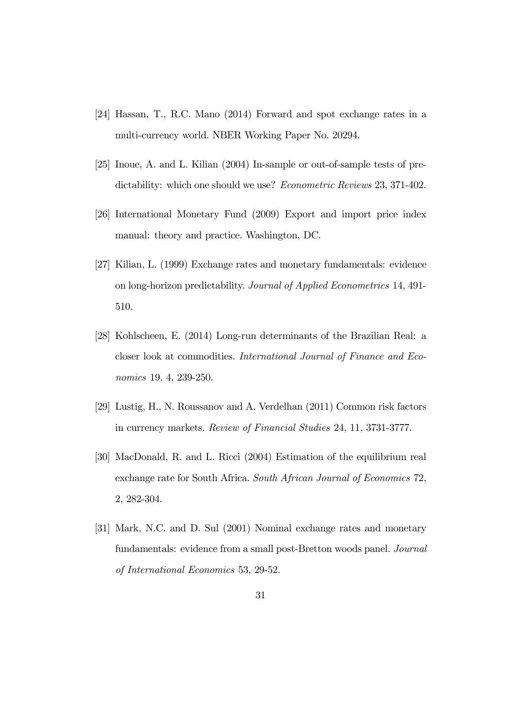- [24] Hassan, T., R.C. Mano (2014) Forward and spot exchange rates in a multi-currency world. NBER Working Paper No. 20294.
- [25] Inoue, A. and L. Kilian (2004) In-sample or out-of-sample tests of predictability: which one should we use? Econometric Reviews 23, 371-402.
- [26] International Monetary Fund (2009) Export and import price index manual: theory and practice. Washington, DC.
- [27] Kilian, L. (1999) Exchange rates and monetary fundamentals: evidence on long-horizon predictability. Journal of Applied Econometrics 14, 491- 510.
- [28] Kohlscheen, E. (2014) Long-run determinants of the Brazilian Real: a closer look at commodities. International Journal of Finance and Economics 19, 4, 239-250.
- [29] Lustig, H., N. Roussanov and A. Verdelhan (2011) Common risk factors in currency markets. Review of Financial Studies 24, 11, 3731-3777.
- [30] MacDonald, R. and L. Ricci (2004) Estimation of the equilibrium real exchange rate for South Africa. South African Journal of Economics 72, 2, 282-304.
- [31] Mark, N.C. and D. Sul (2001) Nominal exchange rates and monetary fundamentals: evidence from a small post-Bretton woods panel. Journal of International Economics 53, 29-52.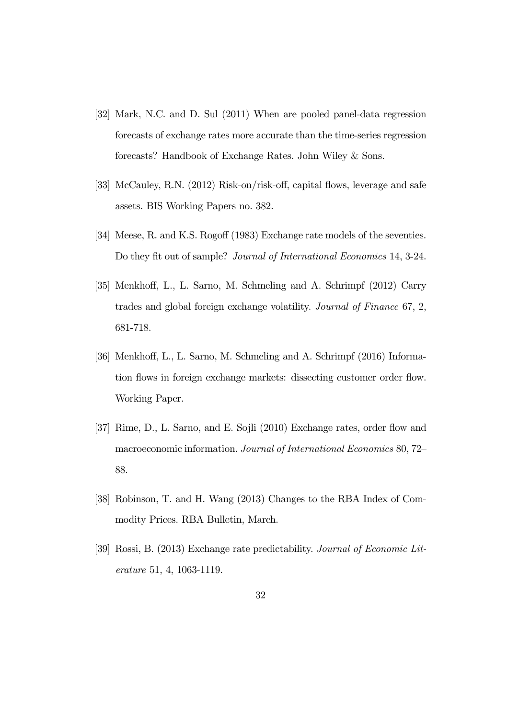- [32] Mark, N.C. and D. Sul (2011) When are pooled panel-data regression forecasts of exchange rates more accurate than the time-series regression forecasts? Handbook of Exchange Rates. John Wiley & Sons.
- [33] McCauley, R.N. (2012) Risk-on/risk-off, capital flows, leverage and safe assets. BIS Working Papers no. 382.
- [34] Meese, R. and K.S. Rogoff (1983) Exchange rate models of the seventies. Do they fit out of sample? Journal of International Economics 14, 3-24.
- [35] Menkhoff, L., L. Sarno, M. Schmeling and A. Schrimpf (2012) Carry trades and global foreign exchange volatility. Journal of Finance 67, 2, 681-718.
- [36] Menkhoff, L., L. Sarno, M. Schmeling and A. Schrimpf (2016) Information flows in foreign exchange markets: dissecting customer order flow. Working Paper.
- [37] Rime, D., L. Sarno, and E. Sojli (2010) Exchange rates, order flow and macroeconomic information. Journal of International Economics 80, 72— 88.
- [38] Robinson, T. and H. Wang (2013) Changes to the RBA Index of Commodity Prices. RBA Bulletin, March.
- [39] Rossi, B. (2013) Exchange rate predictability. Journal of Economic Literature 51, 4, 1063-1119.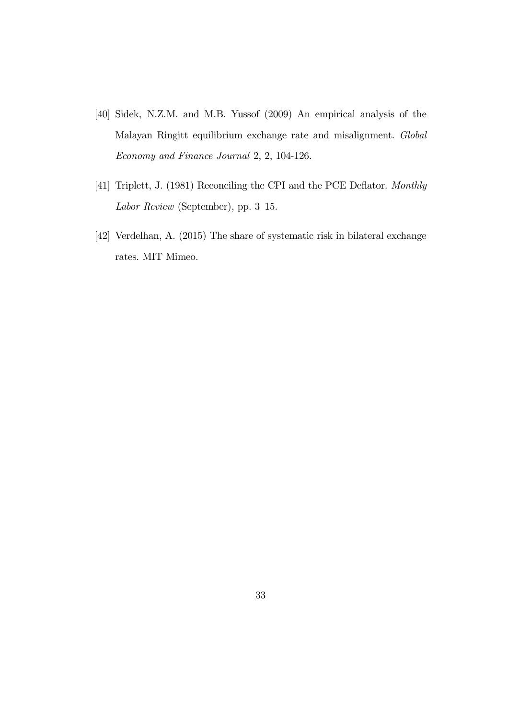- [40] Sidek, N.Z.M. and M.B. Yussof (2009) An empirical analysis of the Malayan Ringitt equilibrium exchange rate and misalignment. Global Economy and Finance Journal 2, 2, 104-126.
- [41] Triplett, J. (1981) Reconciling the CPI and the PCE Deflator. Monthly Labor Review (September), pp. 3—15.
- [42] Verdelhan, A. (2015) The share of systematic risk in bilateral exchange rates. MIT Mimeo.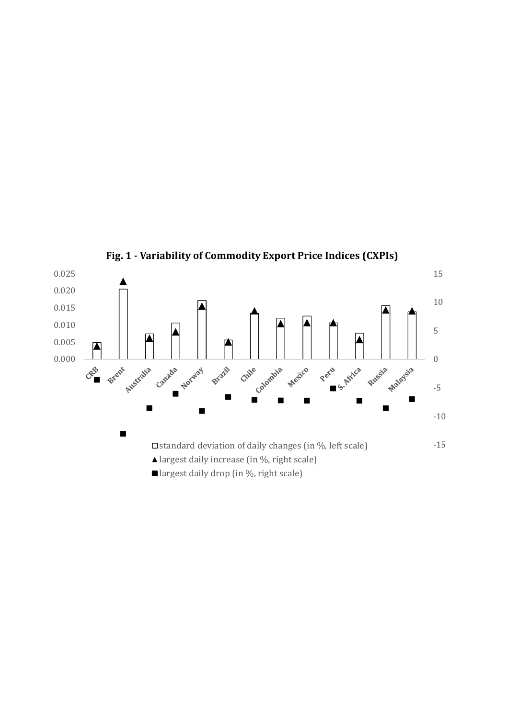

**Fig. 1 - Variability of Commodity Export Price Indices (CXPIs)**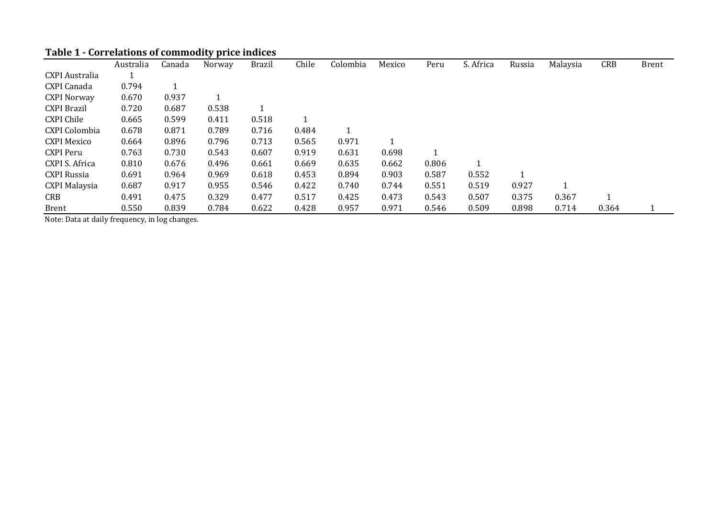## **Table 1 - Correlations of commodity price indices**

|                       | Australia | Canada | Norway | <b>Brazil</b> | Chile | Colombia | Mexico | Peru  | S. Africa | Russia | Malaysia | <b>CRB</b> | <b>Brent</b> |
|-----------------------|-----------|--------|--------|---------------|-------|----------|--------|-------|-----------|--------|----------|------------|--------------|
| <b>CXPI</b> Australia |           |        |        |               |       |          |        |       |           |        |          |            |              |
| CXPI Canada           | 0.794     |        |        |               |       |          |        |       |           |        |          |            |              |
| <b>CXPI Norway</b>    | 0.670     | 0.937  |        |               |       |          |        |       |           |        |          |            |              |
| <b>CXPI Brazil</b>    | 0.720     | 0.687  | 0.538  |               |       |          |        |       |           |        |          |            |              |
| <b>CXPI Chile</b>     | 0.665     | 0.599  | 0.411  | 0.518         |       |          |        |       |           |        |          |            |              |
| CXPI Colombia         | 0.678     | 0.871  | 0.789  | 0.716         | 0.484 |          |        |       |           |        |          |            |              |
| <b>CXPI Mexico</b>    | 0.664     | 0.896  | 0.796  | 0.713         | 0.565 | 0.971    |        |       |           |        |          |            |              |
| <b>CXPI Peru</b>      | 0.763     | 0.730  | 0.543  | 0.607         | 0.919 | 0.631    | 0.698  | 1     |           |        |          |            |              |
| CXPI S. Africa        | 0.810     | 0.676  | 0.496  | 0.661         | 0.669 | 0.635    | 0.662  | 0.806 |           |        |          |            |              |
| CXPI Russia           | 0.691     | 0.964  | 0.969  | 0.618         | 0.453 | 0.894    | 0.903  | 0.587 | 0.552     |        |          |            |              |
| <b>CXPI Malaysia</b>  | 0.687     | 0.917  | 0.955  | 0.546         | 0.422 | 0.740    | 0.744  | 0.551 | 0.519     | 0.927  | 1        |            |              |
| CRB                   | 0.491     | 0.475  | 0.329  | 0.477         | 0.517 | 0.425    | 0.473  | 0.543 | 0.507     | 0.375  | 0.367    |            |              |
| <b>Brent</b>          | 0.550     | 0.839  | 0.784  | 0.622         | 0.428 | 0.957    | 0.971  | 0.546 | 0.509     | 0.898  | 0.714    | 0.364      |              |

Note: Data at daily frequency, in log changes.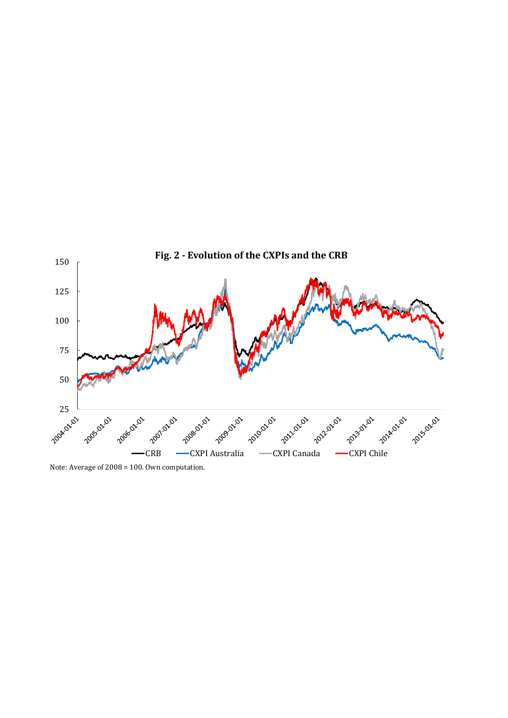

Note: Average of 2008 = 100. Own computation.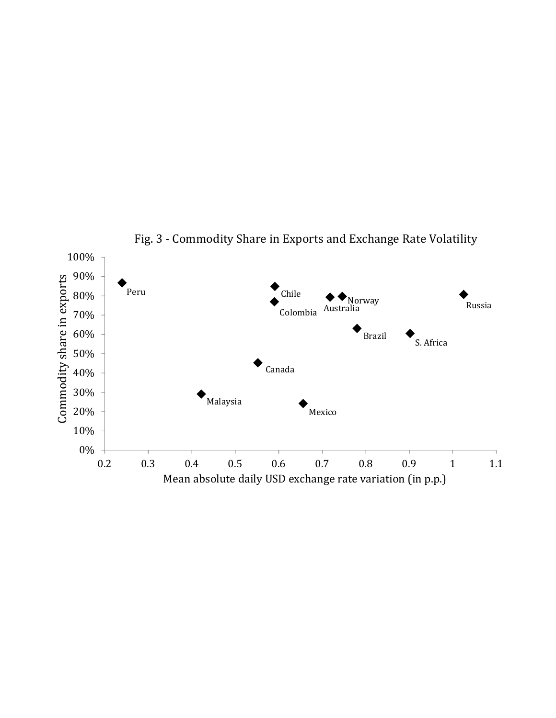

Fig. 3 - Commodity Share in Exports and Exchange Rate Volatility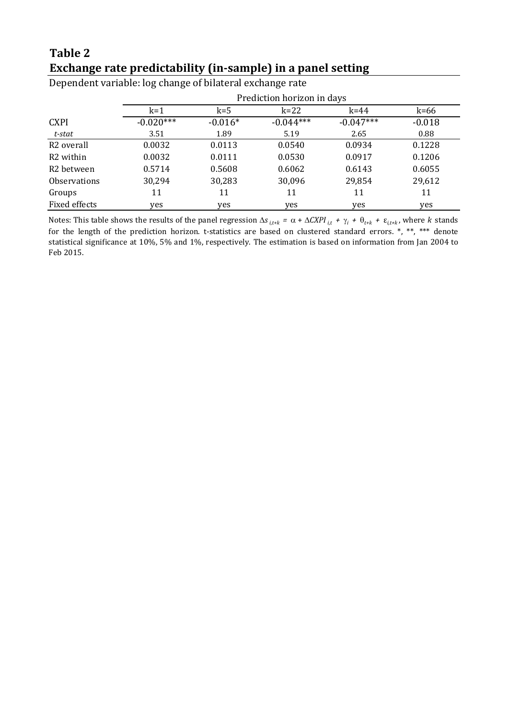### **Table 2 Exchange rate predictability (in-sample) in a panel setting**

|                        |             | Prediction horizon in days |             |             |          |  |  |  |  |  |  |
|------------------------|-------------|----------------------------|-------------|-------------|----------|--|--|--|--|--|--|
|                        | $k=1$       | $k = 5$                    | $k=22$      | $k = 44$    | $k=66$   |  |  |  |  |  |  |
| <b>CXPI</b>            | $-0.020***$ | $-0.016*$                  | $-0.044***$ | $-0.047***$ | $-0.018$ |  |  |  |  |  |  |
| t-stat                 | 3.51        | 1.89                       | 5.19        | 2.65        | 0.88     |  |  |  |  |  |  |
| R <sub>2</sub> overall | 0.0032      | 0.0113                     | 0.0540      | 0.0934      | 0.1228   |  |  |  |  |  |  |
| R <sub>2</sub> within  | 0.0032      | 0.0111                     | 0.0530      | 0.0917      | 0.1206   |  |  |  |  |  |  |
| R <sub>2</sub> between | 0.5714      | 0.5608                     | 0.6062      | 0.6143      | 0.6055   |  |  |  |  |  |  |
| <b>Observations</b>    | 30,294      | 30,283                     | 30,096      | 29,854      | 29,612   |  |  |  |  |  |  |
| Groups                 | 11          | 11                         | 11          | 11          | 11       |  |  |  |  |  |  |
| Fixed effects          | yes         | yes                        | yes         | yes         | yes      |  |  |  |  |  |  |

Dependent variable: log change of bilateral exchange rate

Notes: This table shows the results of the panel regression  $\Delta s_{i,t+k} = \alpha + \Delta C XPI_{i,t} + \gamma_i + \theta_{t+k} + \varepsilon_{i,t+k}$ , where *k* stands for the length of the prediction horizon. t-statistics are based on clustered standard errors. \*, \*\*, \*\*\* denote statistical significance at 10%, 5% and 1%, respectively. The estimation is based on information from Jan 2004 to Feb 2015.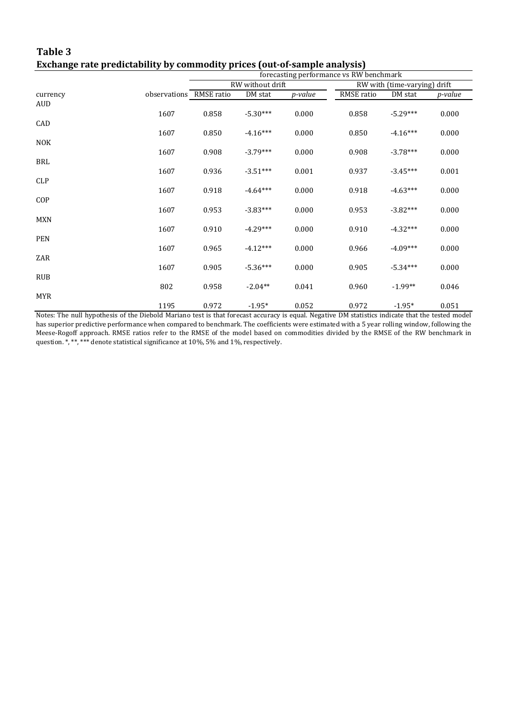### **Table 3 Exchange rate predictability by commodity prices (out-of-sample analysis)**

|            |                         | forecasting performance vs RW benchmark |                  |         |            |                              |                |  |  |  |
|------------|-------------------------|-----------------------------------------|------------------|---------|------------|------------------------------|----------------|--|--|--|
|            |                         |                                         | RW without drift |         |            | RW with (time-varying) drift |                |  |  |  |
| currency   | observations RMSE ratio |                                         | DM stat          | p-value | RMSE ratio | DM stat                      | <i>p-value</i> |  |  |  |
| AUD        |                         |                                         |                  |         |            |                              |                |  |  |  |
|            | 1607                    | 0.858                                   | $-5.30***$       | 0.000   | 0.858      | $-5.29***$                   | 0.000          |  |  |  |
| CAD        |                         |                                         |                  |         |            |                              |                |  |  |  |
|            | 1607                    | 0.850                                   | $-4.16***$       | 0.000   | 0.850      | $-4.16***$                   | 0.000          |  |  |  |
| <b>NOK</b> | 1607                    | 0.908                                   | $-3.79***$       | 0.000   | 0.908      | $-3.78***$                   | 0.000          |  |  |  |
| BRL        |                         |                                         |                  |         |            |                              |                |  |  |  |
|            | 1607                    | 0.936                                   | $-3.51***$       | 0.001   | 0.937      | $-3.45***$                   | 0.001          |  |  |  |
| <b>CLP</b> |                         |                                         |                  |         |            |                              |                |  |  |  |
|            | 1607                    | 0.918                                   | $-4.64***$       | 0.000   | 0.918      | $-4.63***$                   | 0.000          |  |  |  |
| COP        |                         |                                         |                  |         |            |                              |                |  |  |  |
|            | 1607                    | 0.953                                   | $-3.83***$       | 0.000   | 0.953      | $-3.82***$                   | 0.000          |  |  |  |
| <b>MXN</b> | 1607                    | 0.910                                   | $-4.29***$       | 0.000   | 0.910      | $-4.32***$                   | 0.000          |  |  |  |
| <b>PEN</b> |                         |                                         |                  |         |            |                              |                |  |  |  |
|            | 1607                    | 0.965                                   | $-4.12***$       | 0.000   | 0.966      | $-4.09***$                   | 0.000          |  |  |  |
| ZAR        |                         |                                         |                  |         |            |                              |                |  |  |  |
|            | 1607                    | 0.905                                   | $-5.36***$       | 0.000   | 0.905      | $-5.34***$                   | 0.000          |  |  |  |
| <b>RUB</b> |                         |                                         |                  |         |            |                              |                |  |  |  |
|            | 802                     | 0.958                                   | $-2.04**$        | 0.041   | 0.960      | $-1.99**$                    | 0.046          |  |  |  |
| <b>MYR</b> |                         |                                         |                  |         |            |                              |                |  |  |  |
|            | 1195                    | 0.972                                   | $-1.95*$         | 0.052   | 0.972      | $-1.95*$                     | 0.051          |  |  |  |

Notes: The null hypothesis of the Diebold Mariano test is that forecast accuracy is equal. Negative DM statistics indicate that the tested model has superior predictive performance when compared to benchmark. The coefficients were estimated with a 5 year rolling window, following the Meese-Rogoff approach. RMSE ratios refer to the RMSE of the model based on commodities divided by the RMSE of the RW benchmark in question. \*, \*\*, \*\*\* denote statistical significance at 10%, 5% and 1%, respectively.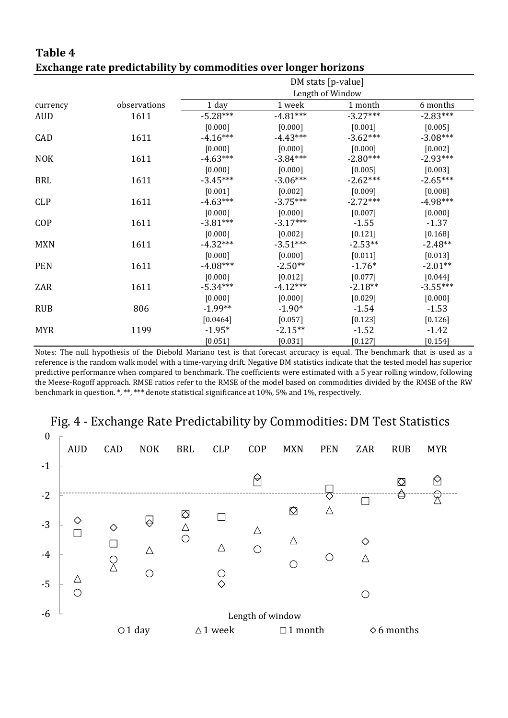|            | Exchange rate predictability by commodities over longer horizons |            |                    |                  |            |  |  |  |  |  |  |
|------------|------------------------------------------------------------------|------------|--------------------|------------------|------------|--|--|--|--|--|--|
|            |                                                                  |            | DM stats [p-value] |                  |            |  |  |  |  |  |  |
|            |                                                                  |            |                    | Length of Window |            |  |  |  |  |  |  |
| currency   | observations                                                     | 1 day      | 1 week             | 1 month          | 6 months   |  |  |  |  |  |  |
| <b>AUD</b> | 1611                                                             | $-5.28***$ | $-4.81***$         | $-3.27***$       | $-2.83***$ |  |  |  |  |  |  |
|            |                                                                  | [0.000]    | [0.000]            | [0.001]          | [0.005]    |  |  |  |  |  |  |
| CAD        | 1611                                                             | $-4.16***$ | $-4.43***$         | $-3.62***$       | $-3.08***$ |  |  |  |  |  |  |
|            |                                                                  | [0.000]    | [0.000]            | [0.000]          | [0.002]    |  |  |  |  |  |  |
| <b>NOK</b> | 1611                                                             | $-4.63***$ | $-3.84***$         | $-2.80***$       | $-2.93***$ |  |  |  |  |  |  |
|            |                                                                  | [0.000]    | [0.000]            | [0.005]          | [0.003]    |  |  |  |  |  |  |
| <b>BRL</b> | 1611                                                             | $-3.45***$ | $-3.06***$         | $-2.62***$       | $-2.65***$ |  |  |  |  |  |  |
|            |                                                                  | [0.001]    | [0.002]            | [0.009]          | [0.008]    |  |  |  |  |  |  |
| <b>CLP</b> | 1611                                                             | $-4.63***$ | $-3.75***$         | $-2.72***$       | $-4.98***$ |  |  |  |  |  |  |
|            |                                                                  | [0.000]    | [0.000]            | [0.007]          | [0.000]    |  |  |  |  |  |  |
| COP        | 1611                                                             | $-3.81***$ | $-3.17***$         | $-1.55$          | $-1.37$    |  |  |  |  |  |  |
|            |                                                                  | [0.000]    | [0.002]            | [0.121]          | [0.168]    |  |  |  |  |  |  |
| <b>MXN</b> | 1611                                                             | $-4.32***$ | $-3.51***$         | $-2.53**$        | $-2.48**$  |  |  |  |  |  |  |
|            |                                                                  | [0.000]    | [0.000]            | [0.011]          | [0.013]    |  |  |  |  |  |  |
| <b>PEN</b> | 1611                                                             | $-4.08***$ | $-2.50**$          | $-1.76*$         | $-2.01**$  |  |  |  |  |  |  |
|            |                                                                  | [0.000]    | [0.012]            | [0.077]          | [0.044]    |  |  |  |  |  |  |
| ZAR        | 1611                                                             | $-5.34***$ | $-4.12***$         | $-2.18**$        | $-3.55***$ |  |  |  |  |  |  |
|            |                                                                  | [0.000]    | [0.000]            | [0.029]          | [0.000]    |  |  |  |  |  |  |
| <b>RUB</b> | 806                                                              | $-1.99**$  | $-1.90*$           | $-1.54$          | $-1.53$    |  |  |  |  |  |  |
|            |                                                                  | [0.0464]   | [0.057]            | [0.123]          | [0.126]    |  |  |  |  |  |  |
| <b>MYR</b> | 1199                                                             | $-1.95*$   | $-2.15**$          | $-1.52$          | $-1.42$    |  |  |  |  |  |  |
|            |                                                                  | [0.051]    | [0.031]            | [0.127]          | [0.154]    |  |  |  |  |  |  |

Notes: The null hypothesis of the Diebold Mariano test is that forecast accuracy is equal. The benchmark that is used as a reference is the random walk model with a time-varying drift. Negative DM statistics indicate that the tested model has superior predictive performance when compared to benchmark. The coefficients were estimated with a 5 year rolling window, following the Meese-Rogoff approach. RMSE ratios refer to the RMSE of the model based on commodities divided by the RMSE of the RW benchmark in question. \*, \*\*, \*\*\* denote statistical significance at 10%, 5% and 1%, respectively.



# **Table 4**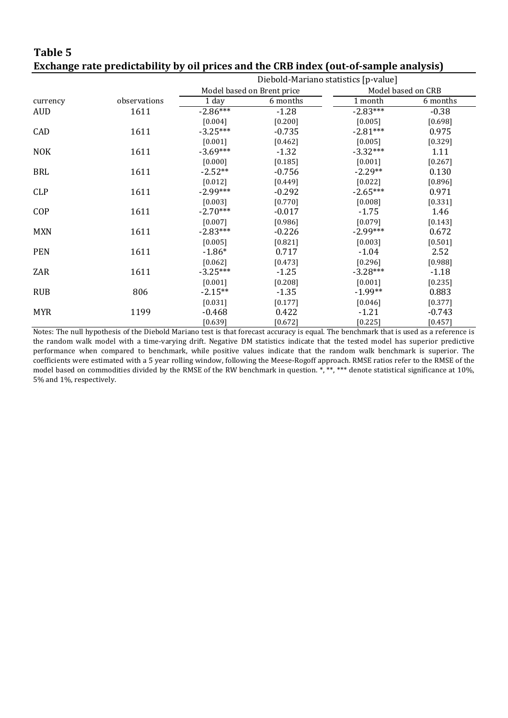### **Table 5 Exchange rate predictability by oil prices and the CRB index (out-of-sample analysis)**

|            |              | Diebold-Mariano statistics [p-value] |                            |            |                    |  |  |
|------------|--------------|--------------------------------------|----------------------------|------------|--------------------|--|--|
|            |              |                                      | Model based on Brent price |            | Model based on CRB |  |  |
| currency   | observations | 1 day                                | 6 months                   | 1 month    | 6 months           |  |  |
| <b>AUD</b> | 1611         | $-2.86***$                           | $-1.28$                    | $-2.83***$ | $-0.38$            |  |  |
|            |              | [0.004]                              | [0.200]                    | [0.005]    | [0.698]            |  |  |
| CAD        | 1611         | $-3.25***$                           | $-0.735$                   | $-2.81***$ | 0.975              |  |  |
|            |              | [0.001]                              | [0.462]                    | [0.005]    | [0.329]            |  |  |
| <b>NOK</b> | 1611         | $-3.69***$                           | $-1.32$                    | $-3.32***$ | 1.11               |  |  |
|            |              | [0.000]                              | [0.185]                    | [0.001]    | $[0.267]$          |  |  |
| <b>BRL</b> | 1611         | $-2.52**$                            | $-0.756$                   | $-2.29**$  | 0.130              |  |  |
|            |              | [0.012]                              | [0.449]                    | [0.022]    | [0.896]            |  |  |
| <b>CLP</b> | 1611         | $-2.99***$                           | $-0.292$                   | $-2.65***$ | 0.971              |  |  |
|            |              | [0.003]                              | [0.770]                    | [0.008]    | [0.331]            |  |  |
| <b>COP</b> | 1611         | $-2.70***$                           | $-0.017$                   | $-1.75$    | 1.46               |  |  |
|            |              | [0.007]                              | [0.986]                    | [0.079]    | [0.143]            |  |  |
| <b>MXN</b> | 1611         | $-2.83***$                           | $-0.226$                   | $-2.99***$ | 0.672              |  |  |
|            |              | [0.005]                              | [0.821]                    | [0.003]    | $[0.501]$          |  |  |
| <b>PEN</b> | 1611         | $-1.86*$                             | 0.717                      | $-1.04$    | 2.52               |  |  |
|            |              | [0.062]                              | [0.473]                    | [0.296]    | [0.988]            |  |  |
| ZAR        | 1611         | $-3.25***$                           | $-1.25$                    | $-3.28***$ | $-1.18$            |  |  |
|            |              | [0.001]                              | [0.208]                    | [0.001]    | [0.235]            |  |  |
| <b>RUB</b> | 806          | $-2.15**$                            | $-1.35$                    | $-1.99**$  | 0.883              |  |  |
|            |              | [0.031]                              | [0.177]                    | [0.046]    | [0.377]            |  |  |
| <b>MYR</b> | 1199         | $-0.468$                             | 0.422                      | $-1.21$    | $-0.743$           |  |  |
|            |              | [0.639]                              | [0.672]                    | [0.225]    | [0.457]            |  |  |

Notes: The null hypothesis of the Diebold Mariano test is that forecast accuracy is equal. The benchmark that is used as a reference is the random walk model with a time-varying drift. Negative DM statistics indicate that the tested model has superior predictive performance when compared to benchmark, while positive values indicate that the random walk benchmark is superior. The coefficients were estimated with a 5 year rolling window, following the Meese-Rogoff approach. RMSE ratios refer to the RMSE of the model based on commodities divided by the RMSE of the RW benchmark in question.  $*, **$ , \*\*\* denote statistical significance at 10%, 5% and 1%, respectively.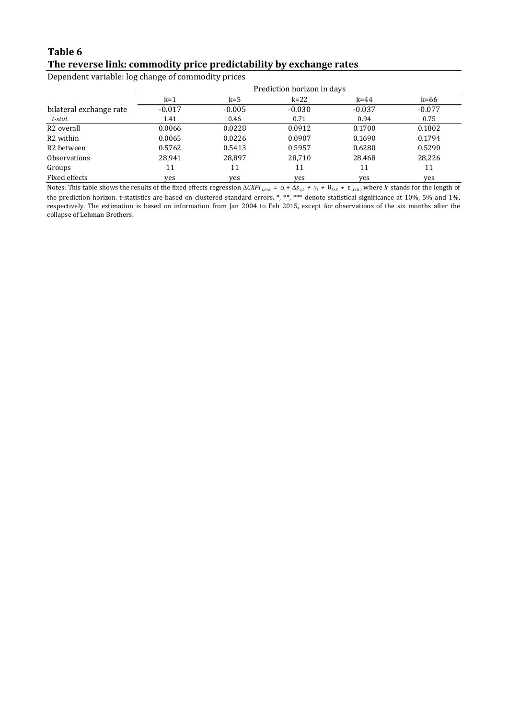### **Table 6 The reverse link: commodity price predictability by exchange rates**

Dependent variable: log change of commodity prices

|                         | Prediction horizon in days |          |          |          |          |  |  |  |  |
|-------------------------|----------------------------|----------|----------|----------|----------|--|--|--|--|
|                         | $k=1$                      | k=5      | $k=22$   | $k = 44$ | k=66     |  |  |  |  |
| bilateral exchange rate | $-0.017$                   | $-0.005$ | $-0.030$ | $-0.037$ | $-0.077$ |  |  |  |  |
| t-stat                  | 1.41                       | 0.46     | 0.71     | 0.94     | 0.75     |  |  |  |  |
| R <sub>2</sub> overall  | 0.0066                     | 0.0228   | 0.0912   | 0.1700   | 0.1802   |  |  |  |  |
| R <sub>2</sub> within   | 0.0065                     | 0.0226   | 0.0907   | 0.1690   | 0.1794   |  |  |  |  |
| R <sub>2</sub> between  | 0.5762                     | 0.5413   | 0.5957   | 0.6280   | 0.5290   |  |  |  |  |
| <b>Observations</b>     | 28,941                     | 28,897   | 28,710   | 28,468   | 28,226   |  |  |  |  |
| Groups                  | 11                         | 11       | 11       | 11       | 11       |  |  |  |  |
| Fixed effects           | yes                        | yes      | yes      | yes      | yes      |  |  |  |  |

Notes: This table shows the results of the fixed effects regression  $\Delta CXPI_{i,t+k} = \alpha + \Delta s_{i,t} + \gamma_i + \theta_{t+k} + \varepsilon_{i,t+k}$ , where *k* stands for the length of the prediction horizon. t-statistics are based on clustered standard errors. \*, \*\*, \*\*\* denote statistical significance at 10%, 5% and 1%, respectively. The estimation is based on information from Jan 2004 to Feb 2015, except for observations of the six months after the collapse of Lehman Brothers.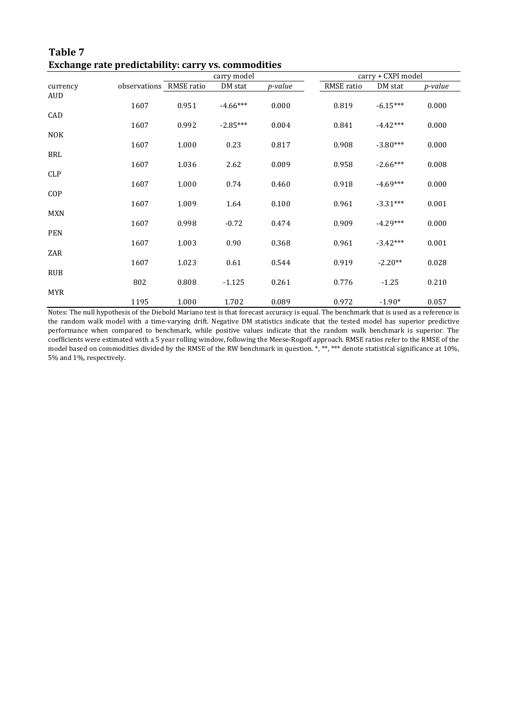|            | <b>Exchange rate predictability: Carry vs. Commodities</b> |       |             |         |            |                    |                 |  |  |  |  |
|------------|------------------------------------------------------------|-------|-------------|---------|------------|--------------------|-----------------|--|--|--|--|
|            |                                                            |       | carry model |         |            | carry + CXPI model |                 |  |  |  |  |
| currency   | observations RMSE ratio                                    |       | DM stat     | p-value | RMSE ratio | DM stat            | <i>p</i> -value |  |  |  |  |
| <b>AUD</b> |                                                            |       |             |         |            |                    |                 |  |  |  |  |
|            | 1607                                                       | 0.951 | $-4.66***$  | 0.000   | 0.819      | $-6.15***$         | 0.000           |  |  |  |  |
| CAD        |                                                            |       |             |         |            |                    |                 |  |  |  |  |
|            | 1607                                                       | 0.992 | $-2.85***$  | 0.004   | 0.841      | $-4.42***$         | 0.000           |  |  |  |  |
| <b>NOK</b> |                                                            |       |             |         |            |                    |                 |  |  |  |  |
|            | 1607                                                       | 1.000 | 0.23        | 0.817   | 0.908      | $-3.80***$         | 0.000           |  |  |  |  |
| <b>BRL</b> |                                                            |       |             |         |            |                    |                 |  |  |  |  |
|            | 1607                                                       | 1.036 | 2.62        | 0.009   | 0.958      | $-2.66***$         | 0.008           |  |  |  |  |
|            |                                                            |       |             |         |            |                    |                 |  |  |  |  |
| <b>CLP</b> |                                                            |       |             |         |            |                    |                 |  |  |  |  |
|            | 1607                                                       | 1.000 | 0.74        | 0.460   | 0.918      | $-4.69***$         | 0.000           |  |  |  |  |
| COP        |                                                            |       |             |         |            |                    |                 |  |  |  |  |
|            | 1607                                                       | 1.009 | 1.64        | 0.100   | 0.961      | $-3.31***$         | 0.001           |  |  |  |  |
| <b>MXN</b> |                                                            |       |             |         |            |                    |                 |  |  |  |  |
|            | 1607                                                       | 0.998 | $-0.72$     | 0.474   | 0.909      | $-4.29***$         | 0.000           |  |  |  |  |
| <b>PEN</b> |                                                            |       |             |         |            |                    |                 |  |  |  |  |
|            | 1607                                                       | 1.003 | 0.90        | 0.368   | 0.961      | $-3.42***$         | 0.001           |  |  |  |  |
| ZAR        |                                                            |       |             |         |            |                    |                 |  |  |  |  |
|            | 1607                                                       | 1.023 | 0.61        | 0.544   | 0.919      | $-2.20**$          | 0.028           |  |  |  |  |
| <b>RUB</b> |                                                            |       |             |         |            |                    |                 |  |  |  |  |
|            | 802                                                        | 0.808 | $-1.125$    | 0.261   | 0.776      | $-1.25$            | 0.210           |  |  |  |  |
| <b>MYR</b> |                                                            |       |             |         |            |                    |                 |  |  |  |  |
|            | 1195                                                       | 1.000 | 1.702       | 0.089   | 0.972      | $-1.90*$           | 0.057           |  |  |  |  |

**Table 7 Exchange rate predictability: carry vs. commodities**

Notes: The null hypothesis of the Diebold Mariano test is that forecast accuracy is equal. The benchmark that is used as a reference is the random walk model with a time-varying drift. Negative DM statistics indicate that the tested model has superior predictive performance when compared to benchmark, while positive values indicate that the random walk benchmark is superior. The coefficients were estimated with a 5 year rolling window, following the Meese-Rogoff approach. RMSE ratios refer to the RMSE of the model based on commodities divided by the RMSE of the RW benchmark in question. \*, \*\*, \*\*\* denote statistical significance at 10%, 5% and 1%, respectively.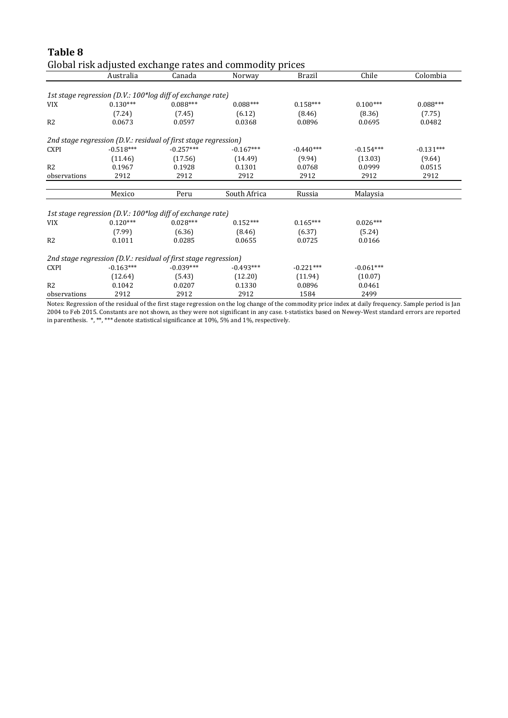|                |             |                                                                 | Global risk adjusted exchange rates and commodity prices |             |             |             |
|----------------|-------------|-----------------------------------------------------------------|----------------------------------------------------------|-------------|-------------|-------------|
|                | Australia   | Canada                                                          | Norway                                                   | Brazil      | Chile       | Colombia    |
|                |             |                                                                 |                                                          |             |             |             |
|                |             | 1st stage regression (D.V.: 100*log diff of exchange rate)      |                                                          |             |             |             |
| VIX            | $0.130***$  | $0.088***$                                                      | $0.088***$                                               | $0.158***$  | $0.100***$  | $0.088***$  |
|                | (7.24)      | (7.45)                                                          | (6.12)                                                   | (8.46)      | (8.36)      | (7.75)      |
| R <sub>2</sub> | 0.0673      | 0.0597                                                          | 0.0368                                                   | 0.0896      | 0.0695      | 0.0482      |
|                |             | 2nd stage regression (D.V.: residual of first stage regression) |                                                          |             |             |             |
| <b>CXPI</b>    | $-0.518***$ | $-0.257***$                                                     | $-0.167***$                                              | $-0.440***$ | $-0.154***$ | $-0.131***$ |
|                | (11.46)     | (17.56)                                                         | (14.49)                                                  | (9.94)      | (13.03)     | (9.64)      |
| R2             | 0.1967      | 0.1928                                                          | 0.1301                                                   | 0.0768      | 0.0999      | 0.0515      |
| observations   | 2912        | 2912                                                            | 2912                                                     | 2912        | 2912        | 2912        |
|                |             |                                                                 |                                                          |             |             |             |
|                | Mexico      | Peru                                                            | South Africa                                             | Russia      | Malaysia    |             |
|                |             | 1st stage regression (D.V.: 100*log diff of exchange rate)      |                                                          |             |             |             |
| VIX            | $0.120***$  | $0.028***$                                                      | $0.152***$                                               | $0.165***$  | $0.026***$  |             |
|                | (7.99)      | (6.36)                                                          | (8.46)                                                   | (6.37)      | (5.24)      |             |
| R2             | 0.1011      | 0.0285                                                          | 0.0655                                                   | 0.0725      | 0.0166      |             |
|                |             |                                                                 |                                                          |             |             |             |
|                |             | 2nd stage regression (D.V.: residual of first stage regression) |                                                          |             |             |             |
| <b>CXPI</b>    | $-0.163***$ | $-0.039***$                                                     | $-0.493***$                                              | $-0.221***$ | $-0.061***$ |             |
|                | (12.64)     | (5.43)                                                          | (12.20)                                                  | (11.94)     | (10.07)     |             |
| R <sub>2</sub> | 0.1042      | 0.0207                                                          | 0.1330                                                   | 0.0896      | 0.0461      |             |
| observations   | 2912        | 2912                                                            | 2912                                                     | 1584        | 2499        |             |

**Table 8**

Notes: Regression of the residual of the first stage regression on the log change of the commodity price index at daily frequency. Sample period is Jan 2004 to Feb 2015. Constants are not shown, as they were not significant in any case. t-statistics based on Newey-West standard errors are reported in parenthesis. \*, \*\*, \*\*\* denote statistical significance at 10%, 5% and 1%, respectively.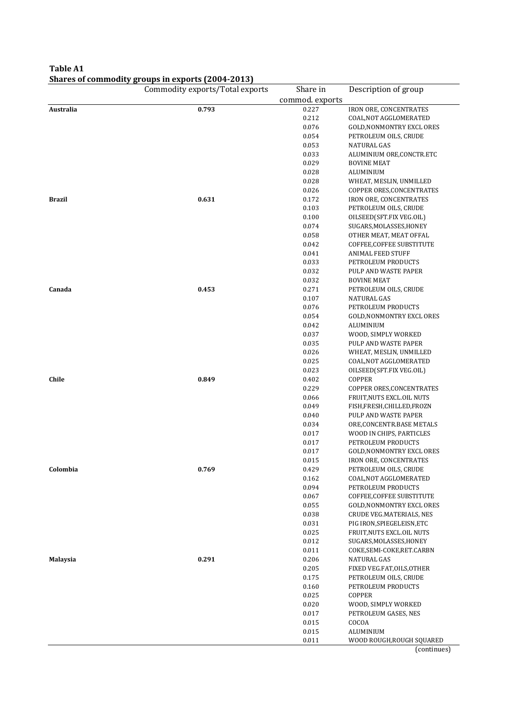### **Table A1 Shares of commodity groups in exports (2004-2013)**

|                 | Commodity exports/Total exports | Share in        | Description of group            |  |  |
|-----------------|---------------------------------|-----------------|---------------------------------|--|--|
|                 |                                 | commod. exports |                                 |  |  |
| Australia       | 0.793                           | 0.227           | IRON ORE, CONCENTRATES          |  |  |
|                 |                                 | 0.212           | COAL, NOT AGGLOMERATED          |  |  |
|                 |                                 | 0.076           | <b>GOLD, NONMONTRY EXCLORES</b> |  |  |
|                 |                                 | 0.054           | PETROLEUM OILS, CRUDE           |  |  |
|                 |                                 | 0.053           | <b>NATURAL GAS</b>              |  |  |
|                 |                                 | 0.033           | ALUMINIUM ORE, CONCTR.ETC       |  |  |
|                 |                                 | 0.029           | <b>BOVINE MEAT</b>              |  |  |
|                 |                                 | 0.028           | ALUMINIUM                       |  |  |
|                 |                                 | 0.028           | WHEAT, MESLIN, UNMILLED         |  |  |
|                 |                                 | 0.026           | COPPER ORES, CONCENTRATES       |  |  |
| <b>Brazil</b>   | 0.631                           | 0.172           | IRON ORE, CONCENTRATES          |  |  |
|                 |                                 | 0.103           | PETROLEUM OILS, CRUDE           |  |  |
|                 |                                 | 0.100           | OILSEED(SFT.FIX VEG.OIL)        |  |  |
|                 |                                 | 0.074           | SUGARS, MOLASSES, HONEY         |  |  |
|                 |                                 | 0.058           | OTHER MEAT, MEAT OFFAL          |  |  |
|                 |                                 | 0.042           | COFFEE, COFFEE SUBSTITUTE       |  |  |
|                 |                                 | 0.041           | <b>ANIMAL FEED STUFF</b>        |  |  |
|                 |                                 | 0.033           | PETROLEUM PRODUCTS              |  |  |
|                 |                                 | 0.032           | PULP AND WASTE PAPER            |  |  |
|                 |                                 | 0.032           | <b>BOVINE MEAT</b>              |  |  |
| Canada          | 0.453                           | 0.271           | PETROLEUM OILS, CRUDE           |  |  |
|                 |                                 | 0.107           | NATURAL GAS                     |  |  |
|                 |                                 | 0.076           | PETROLEUM PRODUCTS              |  |  |
|                 |                                 | 0.054           | GOLD, NONMONTRY EXCLORES        |  |  |
|                 |                                 | 0.042           | ALUMINIUM                       |  |  |
|                 |                                 | 0.037           | WOOD, SIMPLY WORKED             |  |  |
|                 |                                 | 0.035           | PULP AND WASTE PAPER            |  |  |
|                 |                                 | 0.026           | WHEAT, MESLIN, UNMILLED         |  |  |
|                 |                                 | 0.025           | COAL, NOT AGGLOMERATED          |  |  |
|                 |                                 | 0.023           | OILSEED(SFT.FIX VEG.OIL)        |  |  |
| Chile           | 0.849                           | 0.402           | <b>COPPER</b>                   |  |  |
|                 |                                 | 0.229           | COPPER ORES, CONCENTRATES       |  |  |
|                 |                                 | 0.066           | FRUIT, NUTS EXCLOIL NUTS        |  |  |
|                 |                                 | 0.049           | FISH,FRESH,CHILLED,FROZN        |  |  |
|                 |                                 | 0.040           | PULP AND WASTE PAPER            |  |  |
|                 |                                 | 0.034           | ORE, CONCENTR. BASE METALS      |  |  |
|                 |                                 | 0.017           | WOOD IN CHIPS, PARTICLES        |  |  |
|                 |                                 | 0.017           | PETROLEUM PRODUCTS              |  |  |
|                 |                                 | 0.017           | GOLD, NONMONTRY EXCLORES        |  |  |
|                 |                                 | 0.015           | <b>IRON ORE, CONCENTRATES</b>   |  |  |
| Colombia        | 0.769                           | 0.429           | PETROLEUM OILS, CRUDE           |  |  |
|                 |                                 | 0.162           | COAL, NOT AGGLOMERATED          |  |  |
|                 |                                 | 0.094           | PETROLEUM PRODUCTS              |  |  |
|                 |                                 | 0.067           | COFFEE, COFFEE SUBSTITUTE       |  |  |
|                 |                                 | 0.055           | <b>GOLD, NONMONTRY EXCLORES</b> |  |  |
|                 |                                 | 0.038           | CRUDE VEG.MATERIALS, NES        |  |  |
|                 |                                 | 0.031           | PIG IRON, SPIEGELEISN, ETC      |  |  |
|                 |                                 | 0.025           | FRUIT, NUTS EXCL.OIL NUTS       |  |  |
|                 |                                 | 0.012           | SUGARS, MOLASSES, HONEY         |  |  |
|                 |                                 | 0.011           | COKE, SEMI-COKE, RET. CARBN     |  |  |
| <b>Malaysia</b> | 0.291                           | 0.206           | NATURAL GAS                     |  |  |
|                 |                                 | 0.205           | FIXED VEG.FAT, OILS, OTHER      |  |  |
|                 |                                 | 0.175           | PETROLEUM OILS, CRUDE           |  |  |
|                 |                                 | 0.160           | PETROLEUM PRODUCTS              |  |  |
|                 |                                 | 0.025           | COPPER                          |  |  |
|                 |                                 | 0.020           | WOOD, SIMPLY WORKED             |  |  |
|                 |                                 | 0.017           | PETROLEUM GASES, NES            |  |  |
|                 |                                 | 0.015           | COCOA                           |  |  |
|                 |                                 | 0.015           | ALUMINIUM                       |  |  |
|                 |                                 | 0.011           | WOOD ROUGH, ROUGH SQUARED       |  |  |
|                 |                                 |                 | (continue)                      |  |  |

(continues)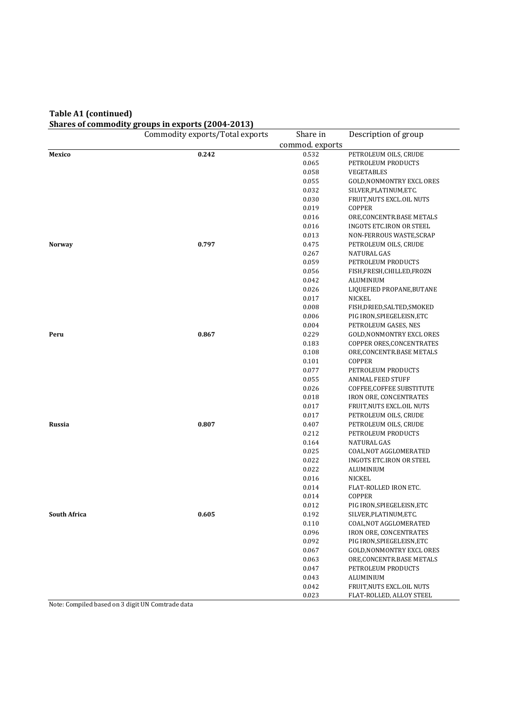#### **Table A1 (continued) Shares of commodity groups in exports (2004-2013)**

|                     | Commodity exports/Total exports | Share in        | Description of group             |
|---------------------|---------------------------------|-----------------|----------------------------------|
|                     |                                 | commod. exports |                                  |
| Mexico              | 0.242                           | 0.532           | PETROLEUM OILS, CRUDE            |
|                     |                                 | 0.065           | PETROLEUM PRODUCTS               |
|                     |                                 | 0.058           | VEGETABLES                       |
|                     |                                 | 0.055           | GOLD, NONMONTRY EXCLORES         |
|                     |                                 | 0.032           | SILVER, PLATINUM, ETC.           |
|                     |                                 | 0.030           | FRUIT, NUTS EXCL. OIL NUTS       |
|                     |                                 | 0.019           | <b>COPPER</b>                    |
|                     |                                 | 0.016           | ORE, CONCENTR. BASE METALS       |
|                     |                                 | 0.016           | <b>INGOTS ETC.IRON OR STEEL</b>  |
|                     |                                 | 0.013           | NON-FERROUS WASTE, SCRAP         |
| <b>Norway</b>       | 0.797                           | 0.475           | PETROLEUM OILS, CRUDE            |
|                     |                                 | 0.267           | <b>NATURAL GAS</b>               |
|                     |                                 | 0.059           | PETROLEUM PRODUCTS               |
|                     |                                 | 0.056           | FISH,FRESH,CHILLED,FROZN         |
|                     |                                 | 0.042           | ALUMINIUM                        |
|                     |                                 | 0.026           | LIQUEFIED PROPANE, BUTANE        |
|                     |                                 | 0.017           | NICKEL                           |
|                     |                                 | 0.008           | FISH, DRIED, SALTED, SMOKED      |
|                     |                                 | 0.006           | PIG IRON, SPIEGELEISN, ETC       |
|                     |                                 | 0.004           | PETROLEUM GASES, NES             |
| Peru                | 0.867                           | 0.229           | GOLD, NONMONTRY EXCLORES         |
|                     |                                 | 0.183           | COPPER ORES, CONCENTRATES        |
|                     |                                 | 0.108           | ORE, CONCENTR. BASE METALS       |
|                     |                                 | 0.101           | <b>COPPER</b>                    |
|                     |                                 | 0.077           | PETROLEUM PRODUCTS               |
|                     |                                 | 0.055           | <b>ANIMAL FEED STUFF</b>         |
|                     |                                 | 0.026           | COFFEE, COFFEE SUBSTITUTE        |
|                     |                                 | 0.018           | IRON ORE, CONCENTRATES           |
|                     |                                 | 0.017           | FRUIT, NUTS EXCLOIL NUTS         |
|                     |                                 | 0.017           | PETROLEUM OILS, CRUDE            |
| Russia              | 0.807                           | 0.407           | PETROLEUM OILS, CRUDE            |
|                     |                                 | 0.212           | PETROLEUM PRODUCTS               |
|                     |                                 | 0.164           | NATURAL GAS                      |
|                     |                                 | 0.025           | COAL, NOT AGGLOMERATED           |
|                     |                                 | 0.022           | INGOTS ETC.IRON OR STEEL         |
|                     |                                 | 0.022           | ALUMINIUM                        |
|                     |                                 | 0.016           | NICKEL                           |
|                     |                                 | 0.014<br>0.014  | FLAT-ROLLED IRON ETC.<br>COPPER  |
|                     |                                 | 0.012           | PIG IRON, SPIEGELEISN, ETC       |
| <b>South Africa</b> | 0.605                           | 0.192           | SILVER, PLATINUM, ETC.           |
|                     |                                 | 0.110           | COAL, NOT AGGLOMERATED           |
|                     |                                 | 0.096           | <b>IRON ORE, CONCENTRATES</b>    |
|                     |                                 | 0.092           | PIG IRON, SPIEGELEISN, ETC       |
|                     |                                 | 0.067           | <b>GOLD, NONMONTRY EXCL ORES</b> |
|                     |                                 | 0.063           | ORE, CONCENTR. BASE METALS       |
|                     |                                 | 0.047           | PETROLEUM PRODUCTS               |
|                     |                                 | 0.043           | ALUMINIUM                        |
|                     |                                 | 0.042           | FRUIT, NUTS EXCL.OIL NUTS        |
|                     |                                 | 0.023           | FLAT-ROLLED, ALLOY STEEL         |

Note: Compiled based on 3 digit UN Comtrade data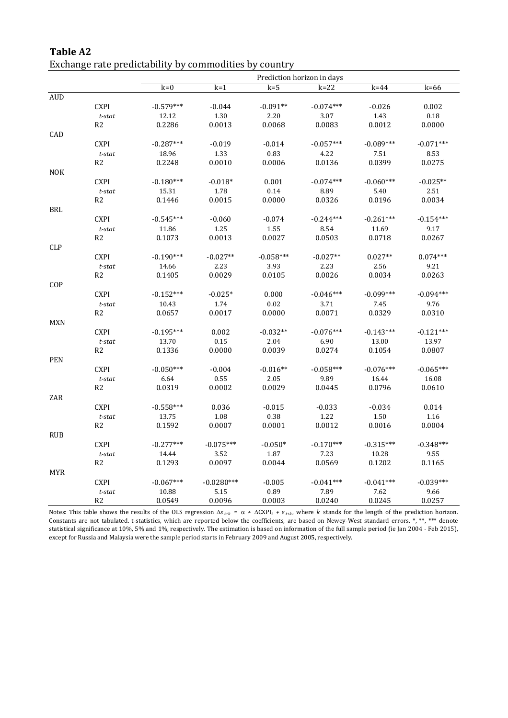|                                    |                 | Prediction horizon in days |                |                |                |                 |                 |  |  |
|------------------------------------|-----------------|----------------------------|----------------|----------------|----------------|-----------------|-----------------|--|--|
|                                    |                 | $k=0$                      | $k=1$          | $k=5$          | $k=22$         | $k = 44$        | $k=66$          |  |  |
| <b>AUD</b>                         |                 |                            |                |                |                |                 |                 |  |  |
|                                    | <b>CXPI</b>     | $-0.579***$                | $-0.044$       | $-0.091**$     | $-0.074***$    | $-0.026$        | 0.002           |  |  |
|                                    | $t\text{-}stat$ | 12.12                      | 1.30           | 2.20           | 3.07           | 1.43            | $0.18\,$        |  |  |
|                                    | R <sub>2</sub>  | 0.2286                     | 0.0013         | 0.0068         | 0.0083         | 0.0012          | 0.0000          |  |  |
| CAD                                |                 |                            |                |                |                |                 |                 |  |  |
|                                    | <b>CXPI</b>     | $-0.287***$                | $-0.019$       | $-0.014$       | $-0.057***$    | $-0.089***$     | $-0.071***$     |  |  |
|                                    | $t$ -stat       | 18.96                      | 1.33           | 0.83           | 4.22           | 7.51            | 8.53            |  |  |
|                                    | R2              | 0.2248                     | 0.0010         | 0.0006         | 0.0136         | 0.0399          | 0.0275          |  |  |
| <b>NOK</b>                         | <b>CXPI</b>     |                            |                |                |                |                 |                 |  |  |
|                                    |                 | $-0.180***$                | $-0.018*$      | 0.001          | $-0.074***$    | $-0.060***$     | $-0.025**$      |  |  |
|                                    | $t$ -stat<br>R2 | 15.31<br>0.1446            | 1.78<br>0.0015 | 0.14<br>0.0000 | 8.89<br>0.0326 | 5.40<br>0.0196  | 2.51<br>0.0034  |  |  |
| <b>BRL</b>                         |                 |                            |                |                |                |                 |                 |  |  |
|                                    | <b>CXPI</b>     | $-0.545***$                | $-0.060$       | $-0.074$       | $-0.244***$    | $-0.261***$     | $-0.154***$     |  |  |
|                                    | $t$ -stat       | 11.86                      | 1.25           | 1.55           | 8.54           | 11.69           | 9.17            |  |  |
|                                    | R2              | 0.1073                     | 0.0013         | 0.0027         | 0.0503         | 0.0718          | 0.0267          |  |  |
| <b>CLP</b>                         |                 |                            |                |                |                |                 |                 |  |  |
|                                    | <b>CXPI</b>     | $-0.190***$                | $-0.027**$     | $-0.058***$    | $-0.027**$     | $0.027**$       | $0.074***$      |  |  |
|                                    | $t$ -stat       | 14.66                      | 2.23           | 3.93           | 2.23           | 2.56            | 9.21            |  |  |
|                                    | R <sub>2</sub>  | 0.1405                     | 0.0029         | 0.0105         | 0.0026         | 0.0034          | 0.0263          |  |  |
| COP                                |                 |                            |                |                |                |                 |                 |  |  |
|                                    | <b>CXPI</b>     | $-0.152***$                | $-0.025*$      | 0.000          | $-0.046***$    | $-0.099***$     | $-0.094***$     |  |  |
|                                    | $t$ -stat       | 10.43                      | 1.74           | 0.02           | 3.71           | 7.45            | 9.76            |  |  |
|                                    | R <sub>2</sub>  | 0.0657                     | 0.0017         | 0.0000         | 0.0071         | 0.0329          | 0.0310          |  |  |
| <b>MXN</b>                         |                 |                            |                |                |                |                 |                 |  |  |
|                                    | <b>CXPI</b>     | $-0.195***$                | 0.002          | $-0.032**$     | $-0.076***$    | $-0.143***$     | $-0.121***$     |  |  |
|                                    | $t$ -stat<br>R2 | 13.70<br>0.1336            | 0.15<br>0.0000 | 2.04<br>0.0039 | 6.90<br>0.0274 | 13.00<br>0.1054 | 13.97<br>0.0807 |  |  |
| PEN                                |                 |                            |                |                |                |                 |                 |  |  |
|                                    | <b>CXPI</b>     | $-0.050***$                | $-0.004$       | $-0.016**$     | $-0.058***$    | $-0.076***$     | $-0.065***$     |  |  |
|                                    | $t\text{-}stat$ | 6.64                       | 0.55           | 2.05           | 9.89           | 16.44           | 16.08           |  |  |
|                                    | R <sub>2</sub>  | 0.0319                     | 0.0002         | 0.0029         | 0.0445         | 0.0796          | 0.0610          |  |  |
| ZAR                                |                 |                            |                |                |                |                 |                 |  |  |
|                                    | <b>CXPI</b>     | $-0.558***$                | 0.036          | $-0.015$       | $-0.033$       | $-0.034$        | 0.014           |  |  |
|                                    | $t$ -stat       | 13.75                      | 1.08           | 0.38           | 1.22           | 1.50            | 1.16            |  |  |
|                                    | R <sub>2</sub>  | 0.1592                     | 0.0007         | 0.0001         | 0.0012         | 0.0016          | 0.0004          |  |  |
| $\mathbf{R} \mathbf{U} \mathbf{B}$ |                 |                            |                |                |                |                 |                 |  |  |
|                                    | <b>CXPI</b>     | $-0.277***$                | $-0.075***$    | $-0.050*$      | $-0.170***$    | $-0.315***$     | $-0.348***$     |  |  |
|                                    | $t\text{-}stat$ | 14.44                      | 3.52           | 1.87           | 7.23           | 10.28           | 9.55            |  |  |
|                                    | R <sub>2</sub>  | 0.1293                     | 0.0097         | 0.0044         | 0.0569         | 0.1202          | 0.1165          |  |  |
| MYR                                |                 |                            |                |                |                |                 |                 |  |  |
|                                    | <b>CXPI</b>     | $-0.067***$                | $-0.0280***$   | $-0.005$       | $-0.041***$    | $-0.041***$     | $-0.039***$     |  |  |
|                                    | $t$ -stat       | 10.88                      | 5.15           | 0.89           | 7.89           | 7.62            | 9.66            |  |  |
|                                    | R2              | 0.0549                     | 0.0096         | 0.0003         | 0.0240         | 0.0245          | 0.0257          |  |  |

### **Table A2** Exchange rate predictability by commodities by country

Notes: This table shows the results of the OLS regression  $\Delta s_{tk} = \alpha + \Delta \text{CXPI}_t + \varepsilon_{tk}$ , where *k* stands for the length of the prediction horizon. Constants are not tabulated. t-statistics, which are reported below the coefficients, are based on Newey-West standard errors. \*, \*\*, \*\*\* denote statistical significance at 10%, 5% and 1%, respectively. The estimation is based on information of the full sample period (ie Jan 2004 - Feb 2015), except for Russia and Malaysia were the sample period starts in February 2009 and August 2005, respectively.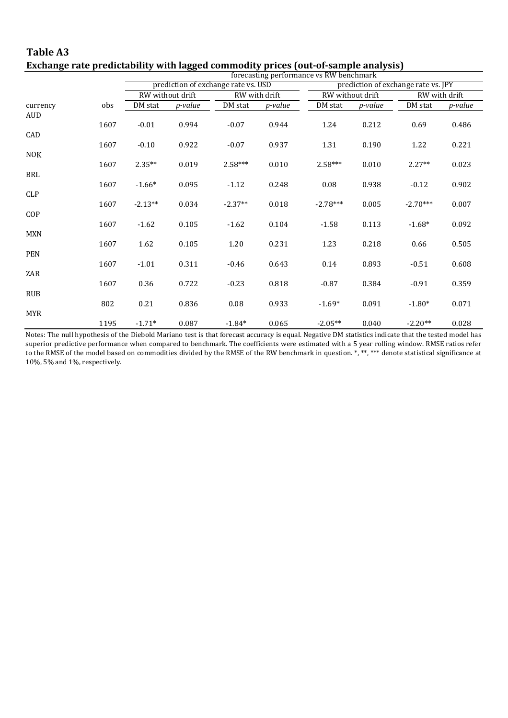|            |      |           |                  |                                     |                 | exenange rate preuteabinty with higgen commounty prices (out or sample analysis)<br>forecasting performance vs RW benchmark |                  |                                     |                |  |
|------------|------|-----------|------------------|-------------------------------------|-----------------|-----------------------------------------------------------------------------------------------------------------------------|------------------|-------------------------------------|----------------|--|
|            |      |           |                  | prediction of exchange rate vs. USD |                 |                                                                                                                             |                  | prediction of exchange rate vs. JPY |                |  |
|            |      |           | RW without drift |                                     | RW with drift   |                                                                                                                             | RW without drift |                                     | RW with drift  |  |
| currency   | obs  | DM stat   | <i>p-value</i>   | DM stat                             | <i>p</i> -value | DM stat                                                                                                                     | <i>p</i> -value  | DM stat                             | <i>p-value</i> |  |
| AUD        |      |           |                  |                                     |                 |                                                                                                                             |                  |                                     |                |  |
|            | 1607 | $-0.01$   | 0.994            | $-0.07$                             | 0.944           | 1.24                                                                                                                        | 0.212            | 0.69                                | 0.486          |  |
| CAD        |      |           |                  |                                     |                 |                                                                                                                             |                  |                                     |                |  |
|            | 1607 | $-0.10$   | 0.922            | $-0.07$                             | 0.937           | 1.31                                                                                                                        | 0.190            | 1.22                                | 0.221          |  |
| <b>NOK</b> |      |           |                  |                                     |                 |                                                                                                                             |                  |                                     |                |  |
|            | 1607 | $2.35**$  | 0.019            | $2.58***$                           | 0.010           | $2.58***$                                                                                                                   | 0.010            | $2.27**$                            | 0.023          |  |
| BRL        |      |           |                  |                                     |                 |                                                                                                                             |                  |                                     |                |  |
|            | 1607 | $-1.66*$  | 0.095            | $-1.12$                             | 0.248           | 0.08                                                                                                                        | 0.938            | $-0.12$                             | 0.902          |  |
| CLP        |      | $-2.13**$ |                  | $-2.37**$                           |                 | $-2.78***$                                                                                                                  | 0.005            | $-2.70***$                          |                |  |
| COP        | 1607 |           | 0.034            |                                     | 0.018           |                                                                                                                             |                  |                                     | 0.007          |  |
|            | 1607 | $-1.62$   | 0.105            | $-1.62$                             | 0.104           | $-1.58$                                                                                                                     | 0.113            | $-1.68*$                            | 0.092          |  |
| <b>MXN</b> |      |           |                  |                                     |                 |                                                                                                                             |                  |                                     |                |  |
|            | 1607 | 1.62      | 0.105            | 1.20                                | 0.231           | 1.23                                                                                                                        | 0.218            | 0.66                                | 0.505          |  |
| PEN        |      |           |                  |                                     |                 |                                                                                                                             |                  |                                     |                |  |
|            | 1607 | $-1.01$   | 0.311            | $-0.46$                             | 0.643           | 0.14                                                                                                                        | 0.893            | $-0.51$                             | 0.608          |  |
| ZAR        |      |           |                  |                                     |                 |                                                                                                                             |                  |                                     |                |  |
|            | 1607 | 0.36      | 0.722            | $-0.23$                             | 0.818           | $-0.87$                                                                                                                     | 0.384            | $-0.91$                             | 0.359          |  |
| <b>RUB</b> |      |           |                  |                                     |                 |                                                                                                                             |                  |                                     |                |  |
|            | 802  | 0.21      | 0.836            | 0.08                                | 0.933           | $-1.69*$                                                                                                                    | 0.091            | $-1.80*$                            | 0.071          |  |
| <b>MYR</b> |      |           |                  |                                     |                 |                                                                                                                             |                  |                                     |                |  |
|            | 1195 | $-1.71*$  | 0.087            | $-1.84*$                            | 0.065           | $-2.05**$                                                                                                                   | 0.040            | $-2.20**$                           | 0.028          |  |

**Table A3 Exchange rate predictability with lagged commodity prices (out-of-sample analysis)**

Notes: The null hypothesis of the Diebold Mariano test is that forecast accuracy is equal. Negative DM statistics indicate that the tested model has superior predictive performance when compared to benchmark. The coefficients were estimated with a 5 year rolling window. RMSE ratios refer to the RMSE of the model based on commodities divided by the RMSE of the RW benchmark in question. \*, \*\*, \*\*\* denote statistical significance at 10%, 5% and 1%, respectively.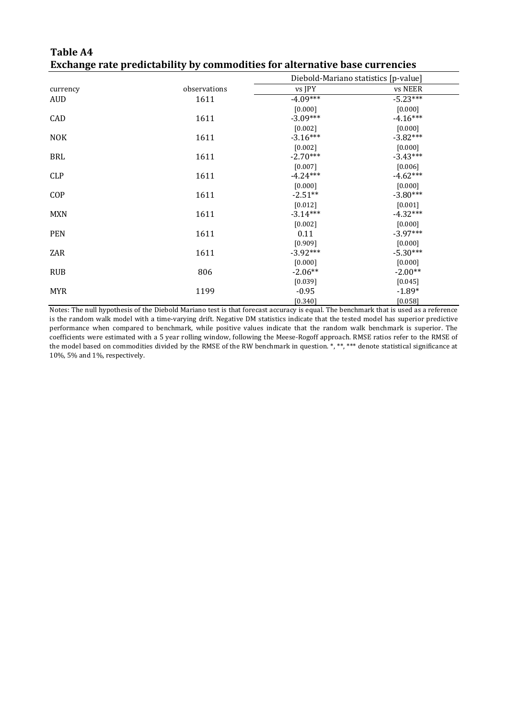|            |              | Diebold-Mariano statistics [p-value] |            |
|------------|--------------|--------------------------------------|------------|
| currency   | observations | vs JPY                               | vs NEER    |
| AUD        | 1611         | $-4.09***$                           | $-5.23***$ |
|            |              | [0.000]                              | [0.000]    |
| CAD        | 1611         | $-3.09***$                           | $-4.16***$ |
|            |              | $[0.002]$                            | $[0.000]$  |
| <b>NOK</b> | 1611         | $-3.16***$                           | $-3.82***$ |
|            |              | $[0.002]$                            | $[0.000]$  |
| BRL        | 1611         | $-2.70***$                           | $-3.43***$ |
|            |              | [0.007]                              | [0.006]    |
| <b>CLP</b> | 1611         | $-4.24***$                           | $-4.62***$ |
|            |              | [0.000]                              | [0.000]    |
| COP        | 1611         | $-2.51**$                            | $-3.80***$ |
|            |              | $[0.012]$                            | [0.001]    |
| <b>MXN</b> | 1611         | $-3.14***$                           | $-4.32***$ |
|            |              | [0.002]                              | [0.000]    |
| <b>PEN</b> | 1611         | 0.11                                 | $-3.97***$ |
|            |              | [0.909]                              | [0.000]    |
| ZAR        | 1611         | $-3.92***$                           | $-5.30***$ |
|            |              | [0.000]                              | [0.000]    |
| <b>RUB</b> | 806          | $-2.06**$                            | $-2.00**$  |
|            |              | [0.039]                              | $[0.045]$  |
| <b>MYR</b> | 1199         | $-0.95$                              | $-1.89*$   |
|            |              | $[0.340]$                            | $[0.058]$  |

**Table A4 Exchange rate predictability by commodities for alternative base currencies**

Notes: The null hypothesis of the Diebold Mariano test is that forecast accuracy is equal. The benchmark that is used as a reference is the random walk model with a time-varying drift. Negative DM statistics indicate that the tested model has superior predictive performance when compared to benchmark, while positive values indicate that the random walk benchmark is superior. The coefficients were estimated with a 5 year rolling window, following the Meese-Rogoff approach. RMSE ratios refer to the RMSE of the model based on commodities divided by the RMSE of the RW benchmark in question. \*, \*\*, \*\*\* denote statistical significance at 10%, 5% and 1%, respectively.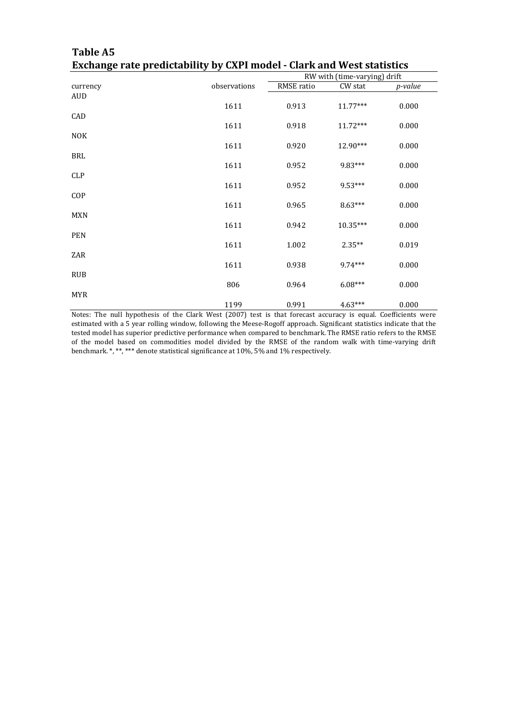|            |              | RW with (time-varying) drift |            |         |
|------------|--------------|------------------------------|------------|---------|
| currency   | observations | RMSE ratio                   | CW stat    | p-value |
| <b>AUD</b> | 1611         | 0.913                        | $11.77***$ | 0.000   |
| CAD        | 1611         | 0.918                        | $11.72***$ | 0.000   |
| <b>NOK</b> | 1611         | 0.920                        | 12.90***   | 0.000   |
| <b>BRL</b> | 1611         | 0.952                        | 9.83***    | 0.000   |
| CLP        | 1611         | 0.952                        | 9.53***    | 0.000   |
| COP        |              |                              | $8.63***$  |         |
| MXN        | 1611         | 0.965                        |            | 0.000   |
| <b>PEN</b> | 1611         | 0.942                        | $10.35***$ | 0.000   |
| ZAR        | 1611         | 1.002                        | $2.35**$   | 0.019   |
| <b>RUB</b> | 1611         | 0.938                        | $9.74***$  | 0.000   |
| <b>MYR</b> | 806          | 0.964                        | $6.08***$  | 0.000   |
|            | 1199         | 0.991                        | $4.63***$  | 0.000   |

### **Table A5 Exchange rate predictability by CXPI model - Clark and West statistics**

Notes: The null hypothesis of the Clark West (2007) test is that forecast accuracy is equal. Coefficients were estimated with a 5 year rolling window, following the Meese-Rogoff approach. Significant statistics indicate that the tested model has superior predictive performance when compared to benchmark. The RMSE ratio refers to the RMSE of the model based on commodities model divided by the RMSE of the random walk with time-varying drift benchmark. \*, \*\*, \*\*\* denote statistical significance at 10%, 5% and 1% respectively.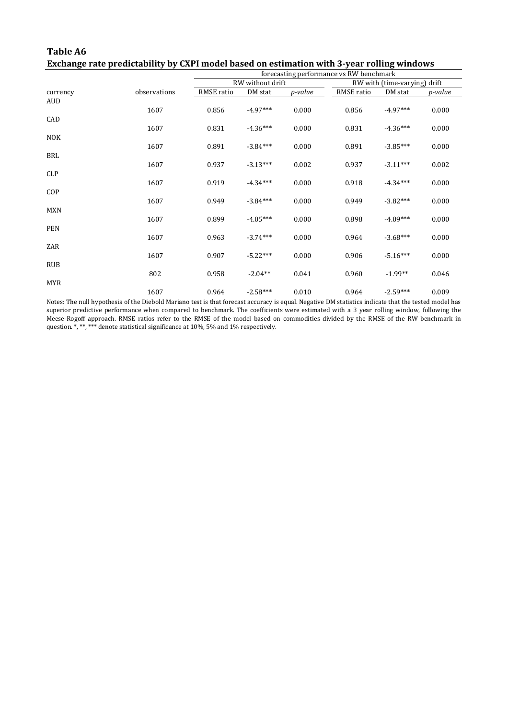| Table A6                                                                                   |
|--------------------------------------------------------------------------------------------|
| Exchange rate predictability by CXPI model based on estimation with 3-year rolling windows |

|            |              | forecasting performance vs RW benchmark |                  |                 |                              |            |         |
|------------|--------------|-----------------------------------------|------------------|-----------------|------------------------------|------------|---------|
|            |              |                                         | RW without drift |                 | RW with (time-varying) drift |            |         |
| currency   | observations | RMSE ratio                              | DM stat          | <i>p</i> -value | RMSE ratio                   | DM stat    | p-value |
| <b>AUD</b> |              |                                         |                  |                 |                              |            |         |
|            | 1607         | 0.856                                   | $-4.97***$       | 0.000           | 0.856                        | $-4.97***$ | 0.000   |
| CAD        |              |                                         |                  |                 |                              |            |         |
|            | 1607         | 0.831                                   | $-4.36***$       | 0.000           | 0.831                        | $-4.36***$ | 0.000   |
| <b>NOK</b> |              |                                         |                  |                 |                              |            |         |
|            | 1607         | 0.891                                   | $-3.84***$       | 0.000           | 0.891                        | $-3.85***$ | 0.000   |
| <b>BRL</b> |              |                                         |                  |                 |                              |            |         |
|            | 1607         | 0.937                                   | $-3.13***$       | 0.002           | 0.937                        | $-3.11***$ | 0.002   |
| <b>CLP</b> |              |                                         |                  |                 |                              |            |         |
|            | 1607         | 0.919                                   | $-4.34***$       | 0.000           | 0.918                        | $-4.34***$ | 0.000   |
| COP        |              |                                         |                  |                 |                              |            |         |
|            | 1607         | 0.949                                   | $-3.84***$       | 0.000           | 0.949                        | $-3.82***$ | 0.000   |
| <b>MXN</b> |              |                                         |                  |                 |                              |            |         |
| <b>PEN</b> | 1607         | 0.899                                   | $-4.05***$       | 0.000           | 0.898                        | $-4.09***$ | 0.000   |
|            | 1607         | 0.963                                   | $-3.74***$       | 0.000           | 0.964                        | $-3.68***$ | 0.000   |
| ZAR        |              |                                         |                  |                 |                              |            |         |
|            | 1607         | 0.907                                   | $-5.22***$       | 0.000           | 0.906                        | $-5.16***$ | 0.000   |
| <b>RUB</b> |              |                                         |                  |                 |                              |            |         |
|            | 802          | 0.958                                   | $-2.04**$        | 0.041           | 0.960                        | $-1.99**$  | 0.046   |
| <b>MYR</b> |              |                                         |                  |                 |                              |            |         |
|            | 1607         | 0.964                                   | $-2.58***$       | 0.010           | 0.964                        | $-2.59***$ | 0.009   |

Notes: The null hypothesis of the Diebold Mariano test is that forecast accuracy is equal. Negative DM statistics indicate that the tested model has superior predictive performance when compared to benchmark. The coefficients were estimated with a 3 year rolling window, following the Meese-Rogoff approach. RMSE ratios refer to the RMSE of the model based on commodities divided by the RMSE of the RW benchmark in question. \*, \*\*, \*\*\* denote statistical significance at 10%, 5% and 1% respectively.